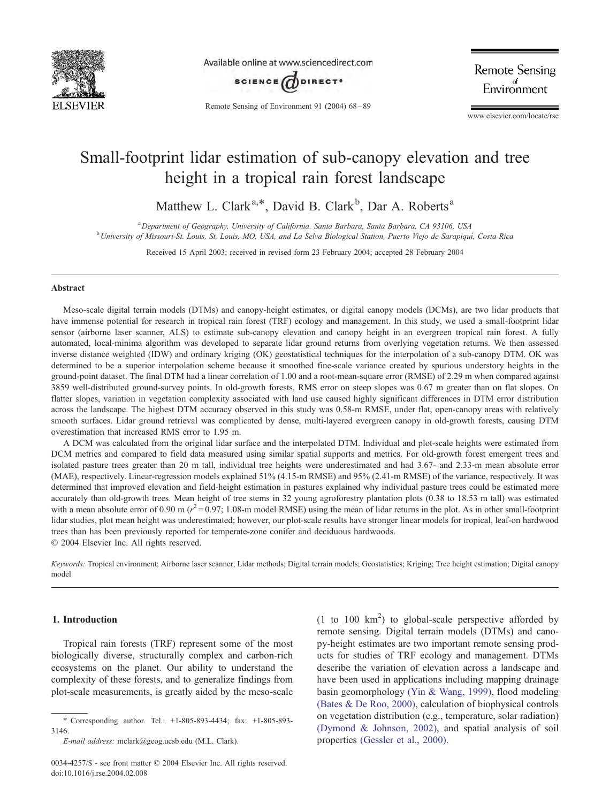

Available online at www.sciencedirect.com



Remote Sensing of Environment 91 (2004) 68 – 89

**Remote Sensing** Environment

www.elsevier.com/locate/rse

# Small-footprint lidar estimation of sub-canopy elevation and tree height in a tropical rain forest landscape

Matthew L. Clark<sup>a,\*</sup>, David B. Clark<sup>b</sup>, Dar A. Roberts<sup>a</sup>

<sup>a</sup> Department of Geography, University of California, Santa Barbara, Santa Barbara, CA 93106, USA<br><sup>b</sup> University of Missouri St. Louis, St. Louis, MO, USA, and La Salva Biological Station, Puerto Vigio de Saranique <sup>b</sup> University of Missouri-St. Louis, St. Louis, MO, USA, and La Selva Biological Station, Puerto Viejo de Sarapiquí, Costa Rica

Received 15 April 2003; received in revised form 23 February 2004; accepted 28 February 2004

## Abstract

Meso-scale digital terrain models (DTMs) and canopy-height estimates, or digital canopy models (DCMs), are two lidar products that have immense potential for research in tropical rain forest (TRF) ecology and management. In this study, we used a small-footprint lidar sensor (airborne laser scanner, ALS) to estimate sub-canopy elevation and canopy height in an evergreen tropical rain forest. A fully automated, local-minima algorithm was developed to separate lidar ground returns from overlying vegetation returns. We then assessed inverse distance weighted (IDW) and ordinary kriging (OK) geostatistical techniques for the interpolation of a sub-canopy DTM. OK was determined to be a superior interpolation scheme because it smoothed fine-scale variance created by spurious understory heights in the ground-point dataset. The final DTM had a linear correlation of 1.00 and a root-mean-square error (RMSE) of 2.29 m when compared against 3859 well-distributed ground-survey points. In old-growth forests, RMS error on steep slopes was 0.67 m greater than on flat slopes. On flatter slopes, variation in vegetation complexity associated with land use caused highly significant differences in DTM error distribution across the landscape. The highest DTM accuracy observed in this study was 0.58-m RMSE, under flat, open-canopy areas with relatively smooth surfaces. Lidar ground retrieval was complicated by dense, multi-layered evergreen canopy in old-growth forests, causing DTM overestimation that increased RMS error to 1.95 m.

A DCM was calculated from the original lidar surface and the interpolated DTM. Individual and plot-scale heights were estimated from DCM metrics and compared to field data measured using similar spatial supports and metrics. For old-growth forest emergent trees and isolated pasture trees greater than 20 m tall, individual tree heights were underestimated and had 3.67- and 2.33-m mean absolute error (MAE), respectively. Linear-regression models explained 51% (4.15-m RMSE) and 95% (2.41-m RMSE) of the variance, respectively. It was determined that improved elevation and field-height estimation in pastures explained why individual pasture trees could be estimated more accurately than old-growth trees. Mean height of tree stems in 32 young agroforestry plantation plots (0.38 to 18.53 m tall) was estimated with a mean absolute error of 0.90 m ( $r^2 = 0.97$ ; 1.08-m model RMSE) using the mean of lidar returns in the plot. As in other small-footprint lidar studies, plot mean height was underestimated; however, our plot-scale results have stronger linear models for tropical, leaf-on hardwood trees than has been previously reported for temperate-zone conifer and deciduous hardwoods.  $© 2004 Elsevier Inc. All rights reserved.$ 

Keywords: Tropical environment; Airborne laser scanner; Lidar methods; Digital terrain models; Geostatistics; Kriging; Tree height estimation; Digital canopy model

# 1. Introduction

Tropical rain forests (TRF) represent some of the most biologically diverse, structurally complex and carbon-rich ecosystems on the planet. Our ability to understand the complexity of these forests, and to generalize findings from plot-scale measurements, is greatly aided by the meso-scale

(1 to 100  $\text{km}^2$ ) to global-scale perspective afforded by remote sensing. Digital terrain models (DTMs) and canopy-height estimates are two important remote sensing products for studies of TRF ecology and management. DTMs describe the variation of elevation across a landscape and have been used in applications including mapping drainage basin geomorphology [\(Yin & Wang, 1999\),](#page-21-0) flood modeling [\(Bates & De Roo, 2000\),](#page-19-0) calculation of biophysical controls on vegetation distribution (e.g., temperature, solar radiation) [\(Dymond & Johnson, 2002\),](#page-19-0) and spatial analysis of soil properties [\(Gessler et al., 2000\).](#page-20-0)

<sup>\*</sup> Corresponding author. Tel.: +1-805-893-4434; fax: +1-805-893- 3146.

E-mail address: mclark@geog.ucsb.edu (M.L. Clark).

<sup>0034-4257/\$ -</sup> see front matter © 2004 Elsevier Inc. All rights reserved. doi:10.1016/j.rse.2004.02.008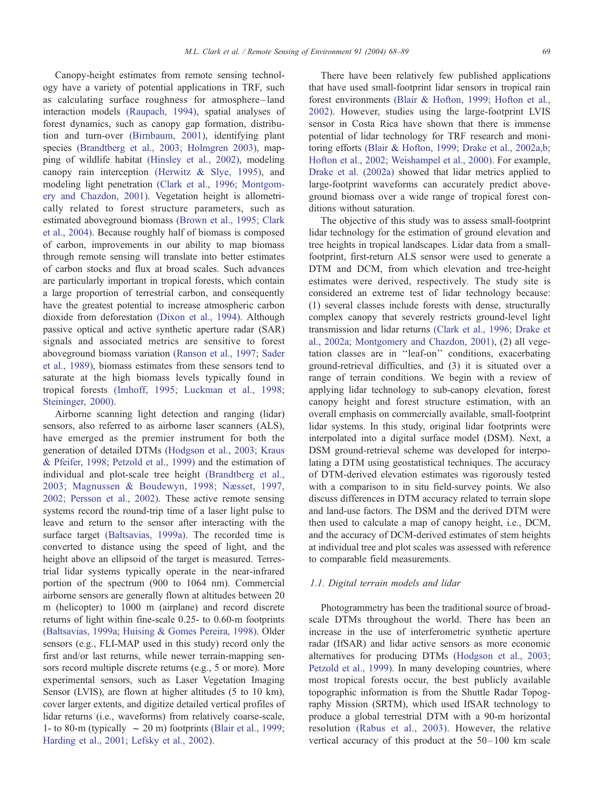Canopy-height estimates from remote sensing technology have a variety of potential applications in TRF, such as calculating surface roughness for atmosphere –land interaction models [\(Raupach, 1994\),](#page-20-0) spatial analyses of forest dynamics, such as canopy gap formation, distribution and turn-over [\(Birnbaum, 2001\),](#page-19-0) identifying plant species [\(Brandtberg et al., 2003; Holmgren 2003\),](#page-19-0) mapping of wildlife habitat [\(Hinsley et al., 2002\),](#page-20-0) modeling canopy rain interception [\(Herwitz & Slye, 1995\),](#page-20-0) and modeling light penetration [\(Clark et al., 1996; Montgom](#page-19-0)ery and Chazdon, 2001). Vegetation height is allometrically related to forest structure parameters, such as estimated aboveground biomass [\(Brown et al., 1995; Clark](#page-19-0) et al., 2004). Because roughly half of biomass is composed of carbon, improvements in our ability to map biomass through remote sensing will translate into better estimates of carbon stocks and flux at broad scales. Such advances are particularly important in tropical forests, which contain a large proportion of terrestrial carbon, and consequently have the greatest potential to increase atmospheric carbon dioxide from deforestation [\(Dixon et al., 1994\).](#page-19-0) Although passive optical and active synthetic aperture radar (SAR) signals and associated metrics are sensitive to forest aboveground biomass variation [\(Ranson et al., 1997; Sader](#page-20-0) et al., 1989), biomass estimates from these sensors tend to saturate at the high biomass levels typically found in tropical forests [\(Imhoff, 1995; Luckman et al., 1998;](#page-20-0) Steininger, 2000).

Airborne scanning light detection and ranging (lidar) sensors, also referred to as airborne laser scanners (ALS), have emerged as the premier instrument for both the generation of detailed DTMs [\(Hodgson et al., 2003; Kraus](#page-20-0) & Pfeifer, 1998; Petzold et al., 1999) and the estimation of individual and plot-scale tree height [\(Brandtberg et al.,](#page-19-0) 2003; Magnussen & Boudewyn, 1998; Næsset, 1997, 2002; Persson et al., 2002). These active remote sensing systems record the round-trip time of a laser light pulse to leave and return to the sensor after interacting with the surface target [\(Baltsavias, 1999a\).](#page-19-0) The recorded time is converted to distance using the speed of light, and the height above an ellipsoid of the target is measured. Terrestrial lidar systems typically operate in the near-infrared portion of the spectrum (900 to 1064 nm). Commercial airborne sensors are generally flown at altitudes between 20 m (helicopter) to 1000 m (airplane) and record discrete returns of light within fine-scale 0.25- to 0.60-m footprints [\(Baltsavias, 1999a; Huising & Gomes Pereira, 1998\).](#page-19-0) Older sensors (e.g., FLI-MAP used in this study) record only the first and/or last returns, while newer terrain-mapping sensors record multiple discrete returns (e.g., 5 or more). More experimental sensors, such as Laser Vegetation Imaging Sensor (LVIS), are flown at higher altitudes (5 to 10 km), cover larger extents, and digitize detailed vertical profiles of lidar returns (i.e., waveforms) from relatively coarse-scale, 1- to 80-m (typically  $\sim$  20 m) footprints [\(Blair et al., 1999;](#page-19-0) Harding et al., 2001; Lefsky et al., 2002).

There have been relatively few published applications that have used small-footprint lidar sensors in tropical rain forest environments [\(Blair & Hofton, 1999; Hofton et al.,](#page-19-0) 2002). However, studies using the large-footprint LVIS sensor in Costa Rica have shown that there is immense potential of lidar technology for TRF research and monitoring efforts [\(Blair & Hofton, 1999; Drake et al., 2002a,b;](#page-19-0) Hofton et al., 2002; Weishampel et al., 2000). For example, [Drake et al. \(2002a\)](#page-19-0) showed that lidar metrics applied to large-footprint waveforms can accurately predict aboveground biomass over a wide range of tropical forest conditions without saturation.

The objective of this study was to assess small-footprint lidar technology for the estimation of ground elevation and tree heights in tropical landscapes. Lidar data from a smallfootprint, first-return ALS sensor were used to generate a DTM and DCM, from which elevation and tree-height estimates were derived, respectively. The study site is considered an extreme test of lidar technology because: (1) several classes include forests with dense, structurally complex canopy that severely restricts ground-level light transmission and lidar returns [\(Clark et al., 1996; Drake et](#page-19-0) al., 2002a; Montgomery and Chazdon, 2001), (2) all vegetation classes are in ''leaf-on'' conditions, exacerbating ground-retrieval difficulties, and (3) it is situated over a range of terrain conditions. We begin with a review of applying lidar technology to sub-canopy elevation, forest canopy height and forest structure estimation, with an overall emphasis on commercially available, small-footprint lidar systems. In this study, original lidar footprints were interpolated into a digital surface model (DSM). Next, a DSM ground-retrieval scheme was developed for interpolating a DTM using geostatistical techniques. The accuracy of DTM-derived elevation estimates was rigorously tested with a comparison to in situ field-survey points. We also discuss differences in DTM accuracy related to terrain slope and land-use factors. The DSM and the derived DTM were then used to calculate a map of canopy height, i.e., DCM, and the accuracy of DCM-derived estimates of stem heights at individual tree and plot scales was assessed with reference to comparable field measurements.

## 1.1. Digital terrain models and lidar

Photogrammetry has been the traditional source of broadscale DTMs throughout the world. There has been an increase in the use of interferometric synthetic aperture radar (IfSAR) and lidar active sensors as more economic alternatives for producing DTMs [\(Hodgson et al., 2003;](#page-20-0) Petzold et al., 1999). In many developing countries, where most tropical forests occur, the best publicly available topographic information is from the Shuttle Radar Topography Mission (SRTM), which used IfSAR technology to produce a global terrestrial DTM with a 90-m horizontal resolution [\(Rabus et al., 2003\).](#page-20-0) However, the relative vertical accuracy of this product at the  $50-100$  km scale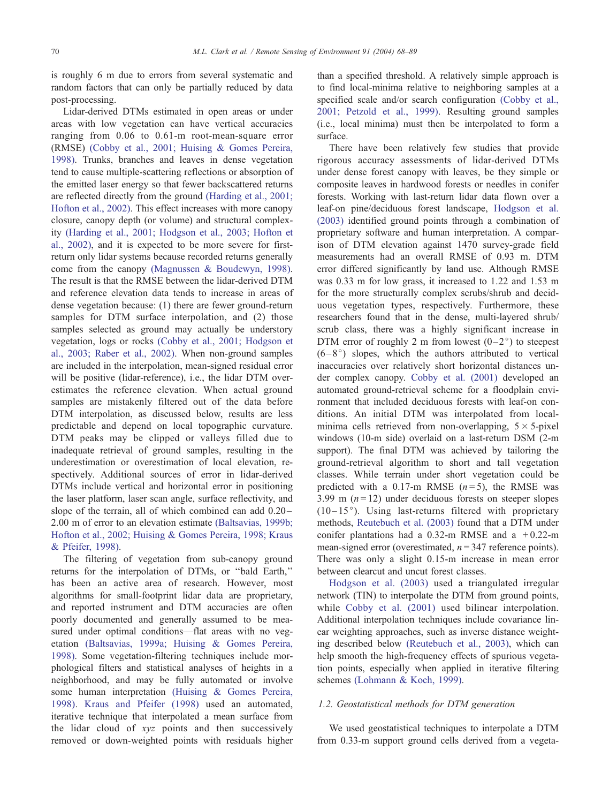is roughly 6 m due to errors from several systematic and random factors that can only be partially reduced by data post-processing.

Lidar-derived DTMs estimated in open areas or under areas with low vegetation can have vertical accuracies ranging from 0.06 to 0.61-m root-mean-square error (RMSE) [\(Cobby et al., 2001; Huising & Gomes Pereira,](#page-19-0) 1998). Trunks, branches and leaves in dense vegetation tend to cause multiple-scattering reflections or absorption of the emitted laser energy so that fewer backscattered returns are reflected directly from the ground [\(Harding et al., 2001;](#page-20-0) Hofton et al., 2002). This effect increases with more canopy closure, canopy depth (or volume) and structural complexity [\(Harding et al., 2001; Hodgson et al., 2003; Hofton et](#page-20-0) al., 2002), and it is expected to be more severe for firstreturn only lidar systems because recorded returns generally come from the canopy [\(Magnussen & Boudewyn, 1998\).](#page-20-0) The result is that the RMSE between the lidar-derived DTM and reference elevation data tends to increase in areas of dense vegetation because: (1) there are fewer ground-return samples for DTM surface interpolation, and (2) those samples selected as ground may actually be understory vegetation, logs or rocks [\(Cobby et al., 2001; Hodgson et](#page-19-0) al., 2003; Raber et al., 2002). When non-ground samples are included in the interpolation, mean-signed residual error will be positive (lidar-reference), i.e., the lidar DTM overestimates the reference elevation. When actual ground samples are mistakenly filtered out of the data before DTM interpolation, as discussed below, results are less predictable and depend on local topographic curvature. DTM peaks may be clipped or valleys filled due to inadequate retrieval of ground samples, resulting in the underestimation or overestimation of local elevation, respectively. Additional sources of error in lidar-derived DTMs include vertical and horizontal error in positioning the laser platform, laser scan angle, surface reflectivity, and slope of the terrain, all of which combined can add  $0.20-$ 2.00 m of error to an elevation estimate [\(Baltsavias, 1999b;](#page-19-0) Hofton et al., 2002; Huising & Gomes Pereira, 1998; Kraus & Pfeifer, 1998).

The filtering of vegetation from sub-canopy ground returns for the interpolation of DTMs, or ''bald Earth,'' has been an active area of research. However, most algorithms for small-footprint lidar data are proprietary, and reported instrument and DTM accuracies are often poorly documented and generally assumed to be measured under optimal conditions—flat areas with no vegetation [\(Baltsavias, 1999a; Huising & Gomes Pereira,](#page-19-0) 1998). Some vegetation-filtering techniques include morphological filters and statistical analyses of heights in a neighborhood, and may be fully automated or involve some human interpretation [\(Huising & Gomes Pereira,](#page-20-0) 1998). [Kraus and Pfeifer \(1998\)](#page-20-0) used an automated, iterative technique that interpolated a mean surface from the lidar cloud of xyz points and then successively removed or down-weighted points with residuals higher than a specified threshold. A relatively simple approach is to find local-minima relative to neighboring samples at a specified scale and/or search configuration [\(Cobby et al.,](#page-19-0) 2001; Petzold et al., 1999). Resulting ground samples (i.e., local minima) must then be interpolated to form a surface.

There have been relatively few studies that provide rigorous accuracy assessments of lidar-derived DTMs under dense forest canopy with leaves, be they simple or composite leaves in hardwood forests or needles in conifer forests. Working with last-return lidar data flown over a leaf-on pine/deciduous forest landscape, [Hodgson et al.](#page-20-0) (2003) identified ground points through a combination of proprietary software and human interpretation. A comparison of DTM elevation against 1470 survey-grade field measurements had an overall RMSE of 0.93 m. DTM error differed significantly by land use. Although RMSE was 0.33 m for low grass, it increased to 1.22 and 1.53 m for the more structurally complex scrubs/shrub and deciduous vegetation types, respectively. Furthermore, these researchers found that in the dense, multi-layered shrub/ scrub class, there was a highly significant increase in DTM error of roughly 2 m from lowest  $(0-2)$ <sup>o</sup>) to steepest  $(6-8)$  slopes, which the authors attributed to vertical inaccuracies over relatively short horizontal distances under complex canopy. [Cobby et al. \(2001\)](#page-19-0) developed an automated ground-retrieval scheme for a floodplain environment that included deciduous forests with leaf-on conditions. An initial DTM was interpolated from localminima cells retrieved from non-overlapping,  $5 \times 5$ -pixel windows (10-m side) overlaid on a last-return DSM (2-m support). The final DTM was achieved by tailoring the ground-retrieval algorithm to short and tall vegetation classes. While terrain under short vegetation could be predicted with a 0.17-m RMSE  $(n=5)$ , the RMSE was 3.99 m  $(n=12)$  under deciduous forests on steeper slopes  $(10-15^{\circ})$ . Using last-returns filtered with proprietary methods, [Reutebuch et al. \(2003\)](#page-20-0) found that a DTM under conifer plantations had a  $0.32$ -m RMSE and a  $+0.22$ -m mean-signed error (overestimated,  $n = 347$  reference points). There was only a slight 0.15-m increase in mean error between clearcut and uncut forest classes.

[Hodgson et al. \(2003\)](#page-20-0) used a triangulated irregular network (TIN) to interpolate the DTM from ground points, while [Cobby et al. \(2001\)](#page-19-0) used bilinear interpolation. Additional interpolation techniques include covariance linear weighting approaches, such as inverse distance weighting described below [\(Reutebuch et al., 2003\),](#page-20-0) which can help smooth the high-frequency effects of spurious vegetation points, especially when applied in iterative filtering schemes [\(Lohmann & Koch, 1999\).](#page-20-0)

# 1.2. Geostatistical methods for DTM generation

We used geostatistical techniques to interpolate a DTM from 0.33-m support ground cells derived from a vegeta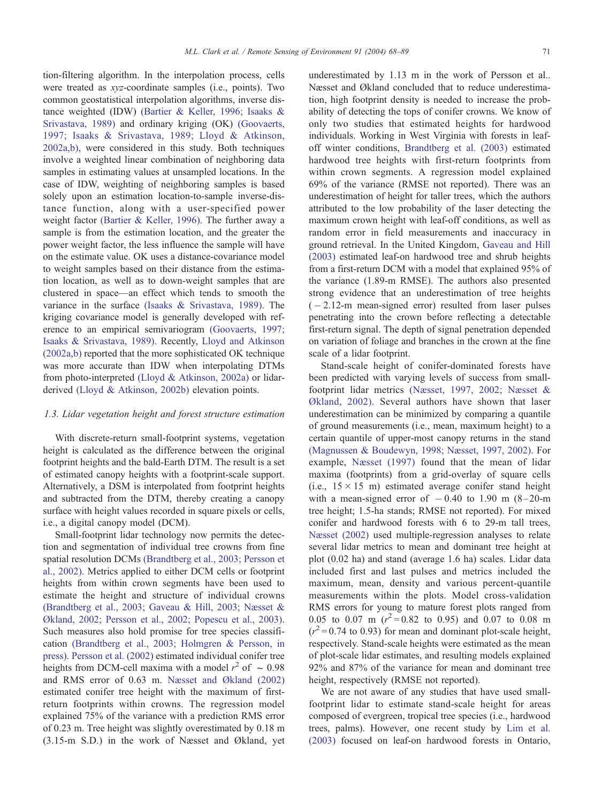tion-filtering algorithm. In the interpolation process, cells were treated as xyz-coordinate samples (i.e., points). Two common geostatistical interpolation algorithms, inverse distance weighted (IDW) [\(Bartier & Keller, 1996; Isaaks &](#page-19-0) Srivastava, 1989) and ordinary kriging (OK) [\(Goovaerts,](#page-20-0) 1997; Isaaks & Srivastava, 1989; Lloyd & Atkinson, 2002a,b), were considered in this study. Both techniques involve a weighted linear combination of neighboring data samples in estimating values at unsampled locations. In the case of IDW, weighting of neighboring samples is based solely upon an estimation location-to-sample inverse-distance function, along with a user-specified power weight factor [\(Bartier & Keller, 1996\).](#page-19-0) The further away a sample is from the estimation location, and the greater the power weight factor, the less influence the sample will have on the estimate value. OK uses a distance-covariance model to weight samples based on their distance from the estimation location, as well as to down-weight samples that are clustered in space—an effect which tends to smooth the variance in the surface [\(Isaaks & Srivastava, 1989\).](#page-20-0) The kriging covariance model is generally developed with reference to an empirical semivariogram [\(Goovaerts, 1997;](#page-20-0) Isaaks & Srivastava, 1989). Recently, [Lloyd and Atkinson](#page-20-0) (2002a,[b\)](#page-20-0) reported that the more sophisticated OK technique was more accurate than IDW when interpolating DTMs from photo-interpreted [\(Lloyd & Atkinson, 2002a\)](#page-20-0) or lidarderived [\(Lloyd & Atkinson, 2002b\)](#page-20-0) elevation points.

# 1.3. Lidar vegetation height and forest structure estimation

With discrete-return small-footprint systems, vegetation height is calculated as the difference between the original footprint heights and the bald-Earth DTM. The result is a set of estimated canopy heights with a footprint-scale support. Alternatively, a DSM is interpolated from footprint heights and subtracted from the DTM, thereby creating a canopy surface with height values recorded in square pixels or cells, i.e., a digital canopy model (DCM).

Small-footprint lidar technology now permits the detection and segmentation of individual tree crowns from fine spatial resolution DCMs [\(Brandtberg et al., 2003; Persson et](#page-19-0) al., 2002). Metrics applied to either DCM cells or footprint heights from within crown segments have been used to estimate the height and structure of individual crowns [\(Brandtberg et al., 2003; Gaveau & Hill, 2003; Næsset &](#page-19-0) Økland, 2002; Persson et al., 2002; Popescu et al., 2003). Such measures also hold promise for tree species classification [\(Brandtberg et al., 2003; Holmgren & Persson, in](#page-19-0) press). [Persson et al. \(2002\)](#page-20-0) estimated individual conifer tree heights from DCM-cell maxima with a model  $r^2$  of  $\sim 0.98$ and RMS error of 0.63 m. [Næsset and Økland \(2002\)](#page-20-0) estimated conifer tree height with the maximum of firstreturn footprints within crowns. The regression model explained 75% of the variance with a prediction RMS error of 0.23 m. Tree height was slightly overestimated by 0.18 m (3.15-m S.D.) in the work of Næsset and Økland, yet

underestimated by 1.13 m in the work of Persson et al.. Næsset and Økland concluded that to reduce underestimation, high footprint density is needed to increase the probability of detecting the tops of conifer crowns. We know of only two studies that estimated heights for hardwood individuals. Working in West Virginia with forests in leafoff winter conditions, [Brandtberg et al. \(2003\)](#page-19-0) estimated hardwood tree heights with first-return footprints from within crown segments. A regression model explained 69% of the variance (RMSE not reported). There was an underestimation of height for taller trees, which the authors attributed to the low probability of the laser detecting the maximum crown height with leaf-off conditions, as well as random error in field measurements and inaccuracy in ground retrieval. In the United Kingdom, [Gaveau and Hill](#page-20-0) (2003) estimated leaf-on hardwood tree and shrub heights from a first-return DCM with a model that explained 95% of the variance (1.89-m RMSE). The authors also presented strong evidence that an underestimation of tree heights  $(-2.12 \text{-} m \text{ mean-signed error})$  resulted from laser pulses penetrating into the crown before reflecting a detectable first-return signal. The depth of signal penetration depended on variation of foliage and branches in the crown at the fine scale of a lidar footprint.

Stand-scale height of conifer-dominated forests have been predicted with varying levels of success from smallfootprint lidar metrics [\(Næsset, 1997, 2002; Næsset &](#page-20-0) Økland, 2002). Several authors have shown that laser underestimation can be minimized by comparing a quantile of ground measurements (i.e., mean, maximum height) to a certain quantile of upper-most canopy returns in the stand [\(Magnussen & Boudewyn, 1998; Næsset, 1997, 2002\).](#page-20-0) For example, [Næsset \(1997\)](#page-20-0) found that the mean of lidar maxima (footprints) from a grid-overlay of square cells (i.e.,  $15 \times 15$  m) estimated average conifer stand height with a mean-signed error of  $-0.40$  to 1.90 m (8-20-m tree height; 1.5-ha stands; RMSE not reported). For mixed conifer and hardwood forests with 6 to 29-m tall trees, [Næsset \(2002\)](#page-20-0) used multiple-regression analyses to relate several lidar metrics to mean and dominant tree height at plot (0.02 ha) and stand (average 1.6 ha) scales. Lidar data included first and last pulses and metrics included the maximum, mean, density and various percent-quantile measurements within the plots. Model cross-validation RMS errors for young to mature forest plots ranged from 0.05 to 0.07 m  $(r^2 = 0.82$  to 0.95) and 0.07 to 0.08 m  $(r^2 = 0.74$  to 0.93) for mean and dominant plot-scale height, respectively. Stand-scale heights were estimated as the mean of plot-scale lidar estimates, and resulting models explained 92% and 87% of the variance for mean and dominant tree height, respectively (RMSE not reported).

We are not aware of any studies that have used smallfootprint lidar to estimate stand-scale height for areas composed of evergreen, tropical tree species (i.e., hardwood trees, palms). However, one recent study by [Lim et al.](#page-20-0) (2003) focused on leaf-on hardwood forests in Ontario,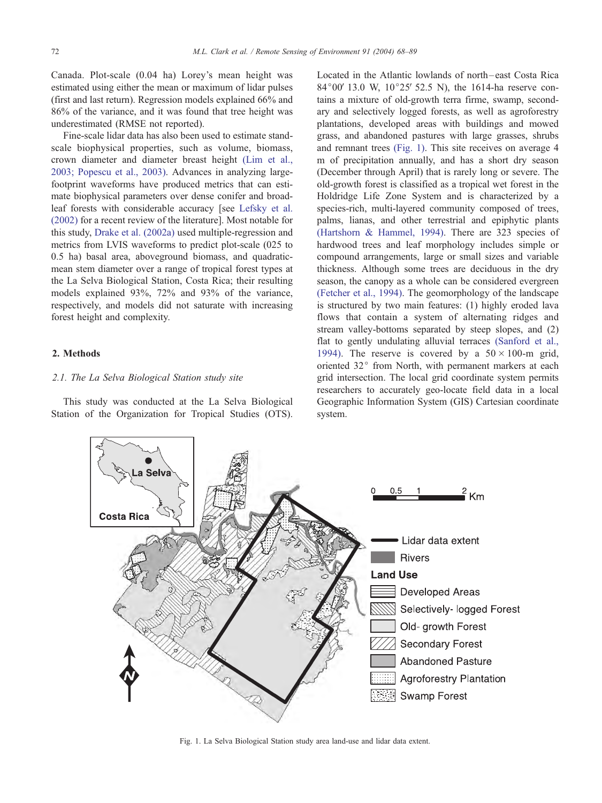<span id="page-4-0"></span>Canada. Plot-scale (0.04 ha) Lorey's mean height was estimated using either the mean or maximum of lidar pulses (first and last return). Regression models explained 66% and 86% of the variance, and it was found that tree height was underestimated (RMSE not reported).

Fine-scale lidar data has also been used to estimate standscale biophysical properties, such as volume, biomass, crown diameter and diameter breast height [\(Lim et al.,](#page-20-0) 2003; Popescu et al., 2003). Advances in analyzing largefootprint waveforms have produced metrics that can estimate biophysical parameters over dense conifer and broadleaf forests with considerable accuracy [see [Lefsky et al.](#page-20-0) (2002) for a recent review of the literature]. Most notable for this study, [Drake et al. \(2002a\)](#page-19-0) used multiple-regression and metrics from LVIS waveforms to predict plot-scale (025 to 0.5 ha) basal area, aboveground biomass, and quadraticmean stem diameter over a range of tropical forest types at the La Selva Biological Station, Costa Rica; their resulting models explained 93%, 72% and 93% of the variance, respectively, and models did not saturate with increasing forest height and complexity.

# 2. Methods

# 2.1. The La Selva Biological Station study site

This study was conducted at the La Selva Biological Station of the Organization for Tropical Studies (OTS). Located in the Atlantic lowlands of north –east Costa Rica 84 $^{\circ}00'$  13.0 W, 10 $^{\circ}25'$  52.5 N), the 1614-ha reserve contains a mixture of old-growth terra firme, swamp, secondary and selectively logged forests, as well as agroforestry plantations, developed areas with buildings and mowed grass, and abandoned pastures with large grasses, shrubs and remnant trees (Fig. 1). This site receives on average 4 m of precipitation annually, and has a short dry season (December through April) that is rarely long or severe. The old-growth forest is classified as a tropical wet forest in the Holdridge Life Zone System and is characterized by a species-rich, multi-layered community composed of trees, palms, lianas, and other terrestrial and epiphytic plants [\(Hartshorn & Hammel, 1994\).](#page-20-0) There are 323 species of hardwood trees and leaf morphology includes simple or compound arrangements, large or small sizes and variable thickness. Although some trees are deciduous in the dry season, the canopy as a whole can be considered evergreen [\(Fetcher et al., 1994\).](#page-19-0) The geomorphology of the landscape is structured by two main features: (1) highly eroded lava flows that contain a system of alternating ridges and stream valley-bottoms separated by steep slopes, and (2) flat to gently undulating alluvial terraces [\(Sanford et al.,](#page-20-0) 1994). The reserve is covered by a  $50 \times 100$ -m grid, oriented 32° from North, with permanent markers at each grid intersection. The local grid coordinate system permits researchers to accurately geo-locate field data in a local Geographic Information System (GIS) Cartesian coordinate system.



Fig. 1. La Selva Biological Station study area land-use and lidar data extent.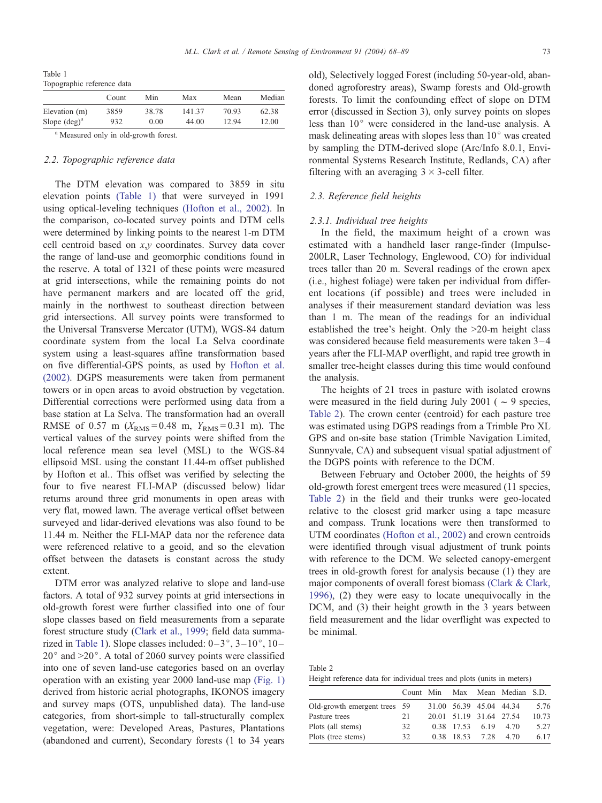<span id="page-5-0"></span>Table 1 Topographic reference data

|                        | Count | Min   | Max    | Mean  | Median |
|------------------------|-------|-------|--------|-------|--------|
| Elevation (m)          | 3859  | 38.78 | 141.37 | 70.93 | 62.38  |
| Slope $(\text{deg})^a$ | 932   | 0.00  | 44.00  | 12.94 | 12.00  |
| $\sim$ $-$             |       |       |        |       |        |

Measured only in old-growth forest.

## 2.2. Topographic reference data

The DTM elevation was compared to 3859 in situ elevation points (Table 1) that were surveyed in 1991 using optical-leveling techniques [\(Hofton et al., 2002\).](#page-20-0) In the comparison, co-located survey points and DTM cells were determined by linking points to the nearest 1-m DTM cell centroid based on x,y coordinates. Survey data cover the range of land-use and geomorphic conditions found in the reserve. A total of 1321 of these points were measured at grid intersections, while the remaining points do not have permanent markers and are located off the grid, mainly in the northwest to southeast direction between grid intersections. All survey points were transformed to the Universal Transverse Mercator (UTM), WGS-84 datum coordinate system from the local La Selva coordinate system using a least-squares affine transformation based on five differential-GPS points, as used by [Hofton et al.](#page-20-0) (2002). DGPS measurements were taken from permanent towers or in open areas to avoid obstruction by vegetation. Differential corrections were performed using data from a base station at La Selva. The transformation had an overall RMSE of 0.57 m ( $X_{RMS} = 0.48$  m,  $Y_{RMS} = 0.31$  m). The vertical values of the survey points were shifted from the local reference mean sea level (MSL) to the WGS-84 ellipsoid MSL using the constant 11.44-m offset published by Hofton et al.. This offset was verified by selecting the four to five nearest FLI-MAP (discussed below) lidar returns around three grid monuments in open areas with very flat, mowed lawn. The average vertical offset between surveyed and lidar-derived elevations was also found to be 11.44 m. Neither the FLI-MAP data nor the reference data were referenced relative to a geoid, and so the elevation offset between the datasets is constant across the study extent.

DTM error was analyzed relative to slope and land-use factors. A total of 932 survey points at grid intersections in old-growth forest were further classified into one of four slope classes based on field measurements from a separate forest structure study ([Clark et al., 1999;](#page-19-0) field data summarized in Table 1). Slope classes included:  $0-3^\circ$ ,  $3-10^\circ$ ,  $10 20^{\circ}$  and  $>20^{\circ}$ . A total of 2060 survey points were classified into one of seven land-use categories based on an overlay operation with an existing year 2000 land-use map [\(Fig. 1\)](#page-4-0) derived from historic aerial photographs, IKONOS imagery and survey maps (OTS, unpublished data). The land-use categories, from short-simple to tall-structurally complex vegetation, were: Developed Areas, Pastures, Plantations (abandoned and current), Secondary forests (1 to 34 years

old), Selectively logged Forest (including 50-year-old, abandoned agroforestry areas), Swamp forests and Old-growth forests. To limit the confounding effect of slope on DTM error (discussed in Section 3), only survey points on slopes less than  $10^{\circ}$  were considered in the land-use analysis. A mask delineating areas with slopes less than  $10<sup>°</sup>$  was created by sampling the DTM-derived slope (Arc/Info 8.0.1, Environmental Systems Research Institute, Redlands, CA) after filtering with an averaging  $3 \times 3$ -cell filter.

# 2.3. Reference field heights

# 2.3.1. Individual tree heights

In the field, the maximum height of a crown was estimated with a handheld laser range-finder (Impulse-200LR, Laser Technology, Englewood, CO) for individual trees taller than 20 m. Several readings of the crown apex (i.e., highest foliage) were taken per individual from different locations (if possible) and trees were included in analyses if their measurement standard deviation was less than 1 m. The mean of the readings for an individual established the tree's height. Only the >20-m height class was considered because field measurements were taken  $3-4$ years after the FLI-MAP overflight, and rapid tree growth in smaller tree-height classes during this time would confound the analysis.

The heights of 21 trees in pasture with isolated crowns were measured in the field during July 2001 ( $\sim$  9 species, Table 2). The crown center (centroid) for each pasture tree was estimated using DGPS readings from a Trimble Pro XL GPS and on-site base station (Trimble Navigation Limited, Sunnyvale, CA) and subsequent visual spatial adjustment of the DGPS points with reference to the DCM.

Between February and October 2000, the heights of 59 old-growth forest emergent trees were measured (11 species, Table 2) in the field and their trunks were geo-located relative to the closest grid marker using a tape measure and compass. Trunk locations were then transformed to UTM coordinates [\(Hofton et al., 2002\)](#page-20-0) and crown centroids were identified through visual adjustment of trunk points with reference to the DCM. We selected canopy-emergent trees in old-growth forest for analysis because (1) they are major components of overall forest biomass [\(Clark & Clark,](#page-19-0) 1996), (2) they were easy to locate unequivocally in the DCM, and (3) their height growth in the 3 years between field measurement and the lidar overflight was expected to be minimal.

| Table 2                                                                |  |  |  |  |  |
|------------------------------------------------------------------------|--|--|--|--|--|
| Height reference data for individual trees and plots (units in meters) |  |  |  |  |  |

|                              | Count Min |            |                         | Max Mean Median S.D. |       |
|------------------------------|-----------|------------|-------------------------|----------------------|-------|
| Old-growth emergent trees 59 |           |            | 31.00 56.39 45.04 44.34 |                      | 5.76  |
| Pasture trees                | 21        |            | 20.01 51.19 31.64 27.54 |                      | 10.73 |
| Plots (all stems)            | 32        | 0.38 17.53 | 6.19                    | 4.70                 | 5.27  |
| Plots (tree stems)           | 32        | 0.38 18.53 | 728                     | 4.70                 | 6.17  |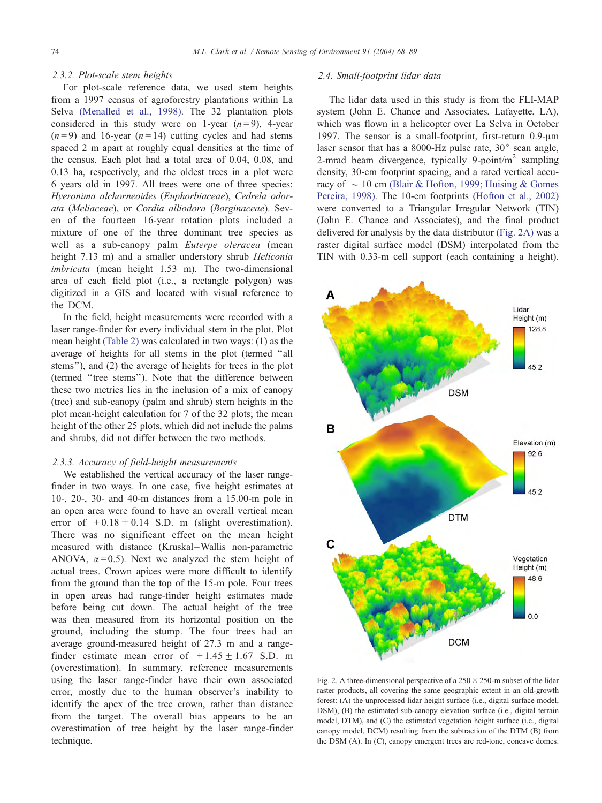## <span id="page-6-0"></span>2.3.2. Plot-scale stem heights

For plot-scale reference data, we used stem heights from a 1997 census of agroforestry plantations within La Selva [\(Menalled et al., 1998\).](#page-20-0) The 32 plantation plots considered in this study were on 1-year  $(n=9)$ , 4-year  $(n=9)$  and 16-year  $(n=14)$  cutting cycles and had stems spaced 2 m apart at roughly equal densities at the time of the census. Each plot had a total area of 0.04, 0.08, and 0.13 ha, respectively, and the oldest trees in a plot were 6 years old in 1997. All trees were one of three species: Hyeronima alchorneoides (Euphorbiaceae), Cedrela odorata (Meliaceae), or Cordia alliodora (Borginaceae). Seven of the fourteen 16-year rotation plots included a mixture of one of the three dominant tree species as well as a sub-canopy palm Euterpe oleracea (mean height 7.13 m) and a smaller understory shrub *Heliconia* imbricata (mean height 1.53 m). The two-dimensional area of each field plot (i.e., a rectangle polygon) was digitized in a GIS and located with visual reference to the DCM.

In the field, height measurements were recorded with a laser range-finder for every individual stem in the plot. Plot mean height [\(Table 2\)](#page-5-0) was calculated in two ways: (1) as the average of heights for all stems in the plot (termed ''all stems''), and (2) the average of heights for trees in the plot (termed ''tree stems''). Note that the difference between these two metrics lies in the inclusion of a mix of canopy (tree) and sub-canopy (palm and shrub) stem heights in the plot mean-height calculation for 7 of the 32 plots; the mean height of the other 25 plots, which did not include the palms and shrubs, did not differ between the two methods.

#### 2.3.3. Accuracy of field-height measurements

We established the vertical accuracy of the laser rangefinder in two ways. In one case, five height estimates at 10-, 20-, 30- and 40-m distances from a 15.00-m pole in an open area were found to have an overall vertical mean error of  $+0.18 \pm 0.14$  S.D. m (slight overestimation). There was no significant effect on the mean height measured with distance (Kruskal-Wallis non-parametric ANOVA,  $\alpha$  = 0.5). Next we analyzed the stem height of actual trees. Crown apices were more difficult to identify from the ground than the top of the 15-m pole. Four trees in open areas had range-finder height estimates made before being cut down. The actual height of the tree was then measured from its horizontal position on the ground, including the stump. The four trees had an average ground-measured height of 27.3 m and a rangefinder estimate mean error of  $+1.45 \pm 1.67$  S.D. m (overestimation). In summary, reference measurements using the laser range-finder have their own associated error, mostly due to the human observer's inability to identify the apex of the tree crown, rather than distance from the target. The overall bias appears to be an overestimation of tree height by the laser range-finder technique.

# 2.4. Small-footprint lidar data

The lidar data used in this study is from the FLI-MAP system (John E. Chance and Associates, Lafayette, LA), which was flown in a helicopter over La Selva in October 1997. The sensor is a small-footprint, first-return  $0.9$ - $\mu$ m laser sensor that has a 8000-Hz pulse rate,  $30^{\circ}$  scan angle, 2-mrad beam divergence, typically 9-point/ $m<sup>2</sup>$  sampling density, 30-cm footprint spacing, and a rated vertical accuracy of  $\sim 10$  cm [\(Blair & Hofton, 1999; Huising & Gomes](#page-19-0) Pereira, 1998). The 10-cm footprints [\(Hofton et al., 2002\)](#page-20-0) were converted to a Triangular Irregular Network (TIN) (John E. Chance and Associates), and the final product delivered for analysis by the data distributor (Fig. 2A) was a raster digital surface model (DSM) interpolated from the TIN with 0.33-m cell support (each containing a height).



Fig. 2. A three-dimensional perspective of a  $250 \times 250$ -m subset of the lidar raster products, all covering the same geographic extent in an old-growth forest: (A) the unprocessed lidar height surface (i.e., digital surface model, DSM), (B) the estimated sub-canopy elevation surface (i.e., digital terrain model, DTM), and (C) the estimated vegetation height surface (i.e., digital canopy model, DCM) resulting from the subtraction of the DTM (B) from the DSM (A). In (C), canopy emergent trees are red-tone, concave domes.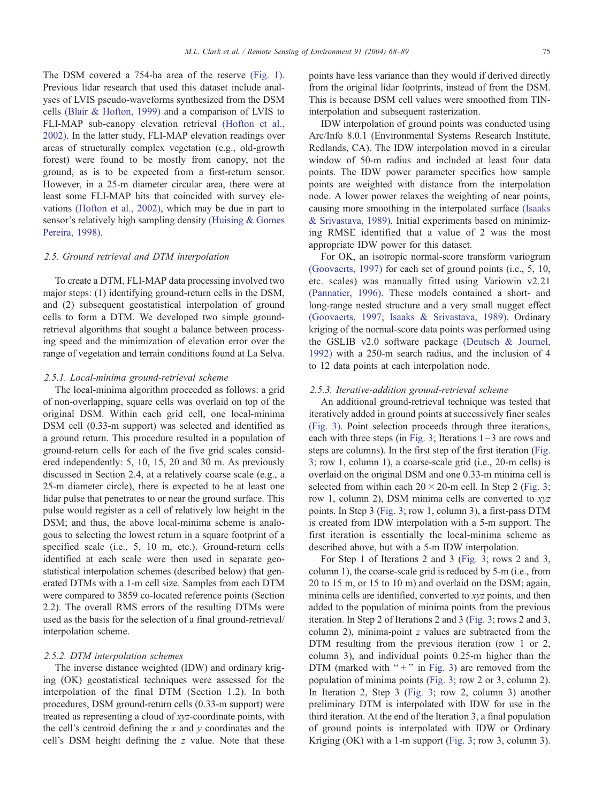The DSM covered a 754-ha area of the reserve [\(Fig. 1\).](#page-4-0) Previous lidar research that used this dataset include analyses of LVIS pseudo-waveforms synthesized from the DSM cells [\(Blair & Hofton, 1999\)](#page-19-0) and a comparison of LVIS to FLI-MAP sub-canopy elevation retrieval [\(Hofton et al.,](#page-20-0) 2002). In the latter study, FLI-MAP elevation readings over areas of structurally complex vegetation (e.g., old-growth forest) were found to be mostly from canopy, not the ground, as is to be expected from a first-return sensor. However, in a 25-m diameter circular area, there were at least some FLI-MAP hits that coincided with survey elevations [\(Hofton et al., 2002\),](#page-20-0) which may be due in part to sensor's relatively high sampling density [\(Huising & Gomes](#page-20-0) Pereira, 1998).

# 2.5. Ground retrieval and DTM interpolation

To create a DTM, FLI-MAP data processing involved two major steps: (1) identifying ground-return cells in the DSM, and (2) subsequent geostatistical interpolation of ground cells to form a DTM. We developed two simple groundretrieval algorithms that sought a balance between processing speed and the minimization of elevation error over the range of vegetation and terrain conditions found at La Selva.

#### 2.5.1. Local-minima ground-retrieval scheme

The local-minima algorithm proceeded as follows: a grid of non-overlapping, square cells was overlaid on top of the original DSM. Within each grid cell, one local-minima DSM cell (0.33-m support) was selected and identified as a ground return. This procedure resulted in a population of ground-return cells for each of the five grid scales considered independently: 5, 10, 15, 20 and 30 m. As previously discussed in Section 2.4, at a relatively coarse scale (e.g., a 25-m diameter circle), there is expected to be at least one lidar pulse that penetrates to or near the ground surface. This pulse would register as a cell of relatively low height in the DSM; and thus, the above local-minima scheme is analogous to selecting the lowest return in a square footprint of a specified scale (i.e., 5, 10 m, etc.). Ground-return cells identified at each scale were then used in separate geostatistical interpolation schemes (described below) that generated DTMs with a 1-m cell size. Samples from each DTM were compared to 3859 co-located reference points (Section 2.2). The overall RMS errors of the resulting DTMs were used as the basis for the selection of a final ground-retrieval/ interpolation scheme.

# 2.5.2. DTM interpolation schemes

The inverse distance weighted (IDW) and ordinary kriging (OK) geostatistical techniques were assessed for the interpolation of the final DTM (Section 1.2). In both procedures, DSM ground-return cells (0.33-m support) were treated as representing a cloud of xyz-coordinate points, with the cell's centroid defining the  $x$  and  $y$  coordinates and the cell's DSM height defining the z value. Note that these

points have less variance than they would if derived directly from the original lidar footprints, instead of from the DSM. This is because DSM cell values were smoothed from TINinterpolation and subsequent rasterization.

IDW interpolation of ground points was conducted using Arc/Info 8.0.1 (Environmental Systems Research Institute, Redlands, CA). The IDW interpolation moved in a circular window of 50-m radius and included at least four data points. The IDW power parameter specifies how sample points are weighted with distance from the interpolation node. A lower power relaxes the weighting of near points, causing more smoothing in the interpolated surface [\(Isaaks](#page-20-0) & Srivastava, 1989). Initial experiments based on minimizing RMSE identified that a value of 2 was the most appropriate IDW power for this dataset.

For OK, an isotropic normal-score transform variogram [\(Goovaerts, 1997\)](#page-20-0) for each set of ground points (i.e., 5, 10, etc. scales) was manually fitted using Variowin v2.21 [\(Pannatier, 1996\).](#page-20-0) These models contained a short- and long-range nested structure and a very small nugget effect [\(Goovaerts, 1997; Isaaks & Srivastava, 1989\).](#page-20-0) Ordinary kriging of the normal-score data points was performed using the GSLIB v2.0 software package [\(Deutsch & Journel,](#page-19-0) 1992) with a 250-m search radius, and the inclusion of 4 to 12 data points at each interpolation node.

#### 2.5.3. Iterative-addition ground-retrieval scheme

An additional ground-retrieval technique was tested that iteratively added in ground points at successively finer scales [\(Fig. 3\).](#page-8-0) Point selection proceeds through three iterations, each with three steps (in [Fig. 3;](#page-8-0) Iterations  $1-3$  are rows and steps are columns). In the first step of the first iteration ([Fig.](#page-8-0) 3; row 1, column 1), a coarse-scale grid (i.e., 20-m cells) is overlaid on the original DSM and one 0.33-m minima cell is selected from within each  $20 \times 20$ -m cell. In Step 2 ([Fig. 3;](#page-8-0) row 1, column 2), DSM minima cells are converted to xyz points. In Step 3 ([Fig. 3;](#page-8-0) row 1, column 3), a first-pass DTM is created from IDW interpolation with a 5-m support. The first iteration is essentially the local-minima scheme as described above, but with a 5-m IDW interpolation.

For Step 1 of Iterations 2 and 3 ([Fig. 3;](#page-8-0) rows 2 and 3, column 1), the coarse-scale grid is reduced by 5-m (i.e., from 20 to 15 m, or 15 to 10 m) and overlaid on the DSM; again, minima cells are identified, converted to xyz points, and then added to the population of minima points from the previous iteration. In Step 2 of Iterations 2 and 3 ([Fig. 3;](#page-8-0) rows 2 and 3, column 2), minima-point  $z$  values are subtracted from the DTM resulting from the previous iteration (row 1 or 2, column 3), and individual points 0.25-m higher than the DTM (marked with " $+$ " in [Fig. 3\)](#page-8-0) are removed from the population of minima points ([Fig. 3;](#page-8-0) row 2 or 3, column 2). In Iteration 2, Step 3 ([Fig. 3;](#page-8-0) row 2, column 3) another preliminary DTM is interpolated with IDW for use in the third iteration. At the end of the Iteration 3, a final population of ground points is interpolated with IDW or Ordinary Kriging (OK) with a 1-m support ([Fig. 3;](#page-8-0) row 3, column 3).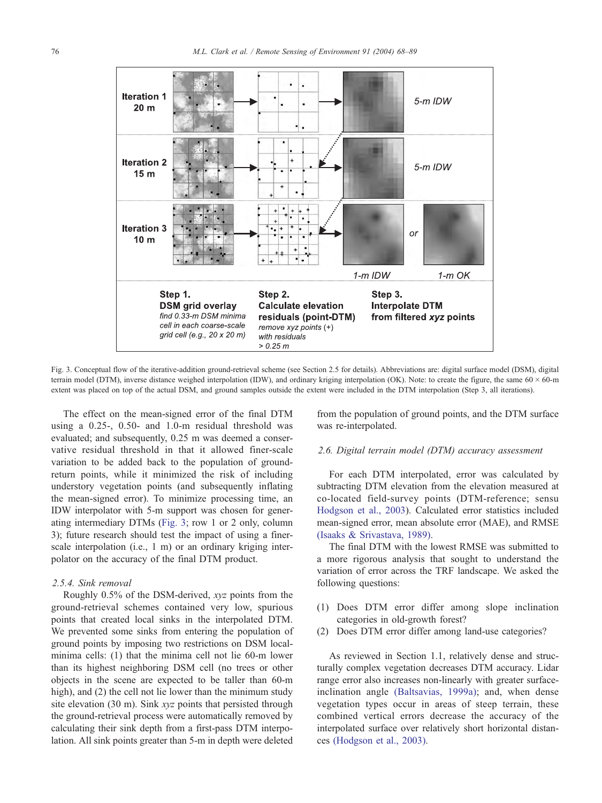<span id="page-8-0"></span>

Fig. 3. Conceptual flow of the iterative-addition ground-retrieval scheme (see Section 2.5 for details). Abbreviations are: digital surface model (DSM), digital terrain model (DTM), inverse distance weighed interpolation (IDW), and ordinary kriging interpolation (OK). Note: to create the figure, the same  $60 \times 60$ -m extent was placed on top of the actual DSM, and ground samples outside the extent were included in the DTM interpolation (Step 3, all iterations).

The effect on the mean-signed error of the final DTM using a 0.25-, 0.50- and 1.0-m residual threshold was evaluated; and subsequently, 0.25 m was deemed a conservative residual threshold in that it allowed finer-scale variation to be added back to the population of groundreturn points, while it minimized the risk of including understory vegetation points (and subsequently inflating the mean-signed error). To minimize processing time, an IDW interpolator with 5-m support was chosen for generating intermediary DTMs (Fig. 3; row 1 or 2 only, column 3); future research should test the impact of using a finerscale interpolation (i.e., 1 m) or an ordinary kriging interpolator on the accuracy of the final DTM product.

## 2.5.4. Sink removal

Roughly 0.5% of the DSM-derived, xyz points from the ground-retrieval schemes contained very low, spurious points that created local sinks in the interpolated DTM. We prevented some sinks from entering the population of ground points by imposing two restrictions on DSM localminima cells: (1) that the minima cell not lie 60-m lower than its highest neighboring DSM cell (no trees or other objects in the scene are expected to be taller than 60-m high), and (2) the cell not lie lower than the minimum study site elevation (30 m). Sink xyz points that persisted through the ground-retrieval process were automatically removed by calculating their sink depth from a first-pass DTM interpolation. All sink points greater than 5-m in depth were deleted

from the population of ground points, and the DTM surface was re-interpolated.

## 2.6. Digital terrain model (DTM) accuracy assessment

For each DTM interpolated, error was calculated by subtracting DTM elevation from the elevation measured at co-located field-survey points (DTM-reference; sensu [Hodgson et al., 2003\)](#page-20-0). Calculated error statistics included mean-signed error, mean absolute error (MAE), and RMSE [\(Isaaks & Srivastava, 1989\).](#page-20-0)

The final DTM with the lowest RMSE was submitted to a more rigorous analysis that sought to understand the variation of error across the TRF landscape. We asked the following questions:

- (1) Does DTM error differ among slope inclination categories in old-growth forest?
- (2) Does DTM error differ among land-use categories?

As reviewed in Section 1.1, relatively dense and structurally complex vegetation decreases DTM accuracy. Lidar range error also increases non-linearly with greater surfaceinclination angle [\(Baltsavias, 1999a\);](#page-19-0) and, when dense vegetation types occur in areas of steep terrain, these combined vertical errors decrease the accuracy of the interpolated surface over relatively short horizontal distances [\(Hodgson et al., 2003\).](#page-20-0)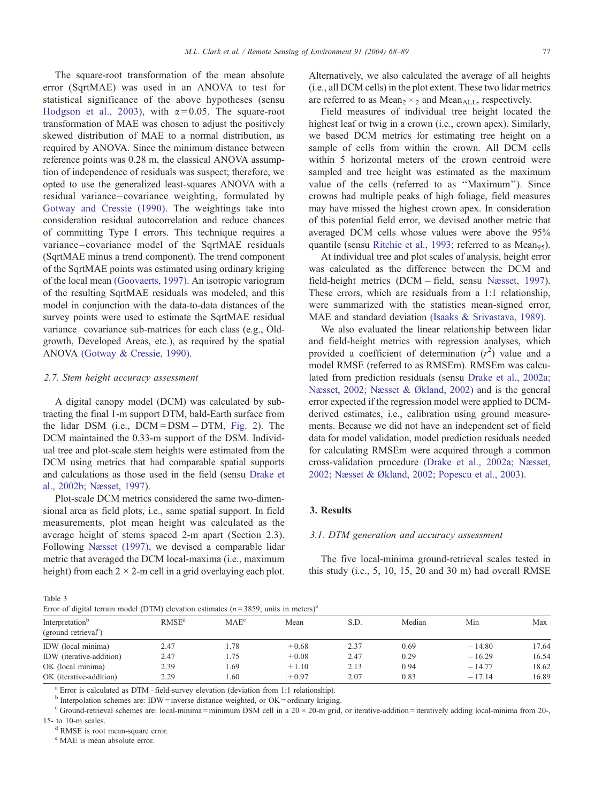<span id="page-9-0"></span>The square-root transformation of the mean absolute error (SqrtMAE) was used in an ANOVA to test for statistical significance of the above hypotheses (sensu [Hodgson et al., 2003\)](#page-20-0), with  $\alpha = 0.05$ . The square-root transformation of MAE was chosen to adjust the positively skewed distribution of MAE to a normal distribution, as required by ANOVA. Since the minimum distance between reference points was 0.28 m, the classical ANOVA assumption of independence of residuals was suspect; therefore, we opted to use the generalized least-squares ANOVA with a residual variance –covariance weighting, formulated by [Gotway and Cressie \(1990\).](#page-20-0) The weightings take into consideration residual autocorrelation and reduce chances of committing Type I errors. This technique requires a variance –covariance model of the SqrtMAE residuals (SqrtMAE minus a trend component). The trend component of the SqrtMAE points was estimated using ordinary kriging of the local mean [\(Goovaerts, 1997\).](#page-20-0) An isotropic variogram of the resulting SqrtMAE residuals was modeled, and this model in conjunction with the data-to-data distances of the survey points were used to estimate the SqrtMAE residual variance–covariance sub-matrices for each class (e.g., Oldgrowth, Developed Areas, etc.), as required by the spatial ANOVA [\(Gotway & Cressie, 1990\).](#page-20-0)

## 2.7. Stem height accuracy assessment

A digital canopy model (DCM) was calculated by subtracting the final 1-m support DTM, bald-Earth surface from the lidar DSM (i.e., DCM = DSM - DTM, [Fig. 2\)](#page-6-0). The DCM maintained the 0.33-m support of the DSM. Individual tree and plot-scale stem heights were estimated from the DCM using metrics that had comparable spatial supports and calculations as those used in the field (sensu [Drake et](#page-19-0) al., 2002b; Næsset, 1997).

Plot-scale DCM metrics considered the same two-dimensional area as field plots, i.e., same spatial support. In field measurements, plot mean height was calculated as the average height of stems spaced 2-m apart (Section 2.3). Following [Næsset \(1997\),](#page-20-0) we devised a comparable lidar metric that averaged the DCM local-maxima (i.e., maximum height) from each  $2 \times 2$ -m cell in a grid overlaying each plot.

Alternatively, we also calculated the average of all heights (i.e., all DCM cells) in the plot extent. These two lidar metrics are referred to as  $Mean_2 \times_2$  and  $Mean_{ALL}$ , respectively.

Field measures of individual tree height located the highest leaf or twig in a crown (i.e., crown apex). Similarly, we based DCM metrics for estimating tree height on a sample of cells from within the crown. All DCM cells within 5 horizontal meters of the crown centroid were sampled and tree height was estimated as the maximum value of the cells (referred to as ''Maximum''). Since crowns had multiple peaks of high foliage, field measures may have missed the highest crown apex. In consideration of this potential field error, we devised another metric that averaged DCM cells whose values were above the 95% quantile (sensu [Ritchie et al., 1993;](#page-20-0) referred to as Mean<sub>95</sub>).

At individual tree and plot scales of analysis, height error was calculated as the difference between the DCM and field-height metrics (DCM - field, sensu [Næsset, 1997\)](#page-20-0). These errors, which are residuals from a 1:1 relationship, were summarized with the statistics mean-signed error, MAE and standard deviation [\(Isaaks & Srivastava, 1989\).](#page-20-0)

We also evaluated the linear relationship between lidar and field-height metrics with regression analyses, which provided a coefficient of determination  $(r^2)$  value and a model RMSE (referred to as RMSEm). RMSEm was calculated from prediction residuals (sensu [Drake et al., 2002a;](#page-19-0) Næsset, 2002; Næsset & Økland, 2002) and is the general error expected if the regression model were applied to DCMderived estimates, i.e., calibration using ground measurements. Because we did not have an independent set of field data for model validation, model prediction residuals needed for calculating RMSEm were acquired through a common cross-validation procedure [\(Drake et al., 2002a; Næsset,](#page-19-0) 2002; Næsset & Økland, 2002; Popescu et al., 2003).

# 3. Results

# 3.1. DTM generation and accuracy assessment

The five local-minima ground-retrieval scales tested in this study (i.e., 5, 10, 15, 20 and 30 m) had overall RMSE

| P. | $\sim$ |  |
|----|--------|--|
|    |        |  |

| Error of digital terrain model (DTM) elevation estimates ( $n = 3859$ , units in meters) <sup>a</sup> |  |  |  |
|-------------------------------------------------------------------------------------------------------|--|--|--|
|                                                                                                       |  |  |  |

| Error of digital terrain model (DTM) elevation estimates ( $n = 3859$ , units in meters) |                   |                  |         |      |        |          |       |  |  |  |  |
|------------------------------------------------------------------------------------------|-------------------|------------------|---------|------|--------|----------|-------|--|--|--|--|
| Interpretation <sup>o</sup><br>(ground retrieval <sup>c</sup> )                          | RMSE <sup>d</sup> | MAE <sup>e</sup> | Mean    | S.D. | Median | Min      | Max   |  |  |  |  |
| IDW (local minima)                                                                       | 2.47              | 1.78             | $+0.68$ | 2.37 | 0.69   | $-14.80$ | 17.64 |  |  |  |  |
| IDW (iterative-addition)                                                                 | 2.47              | 1.75             | $+0.08$ | 2.47 | 0.29   | $-16.29$ | 16.54 |  |  |  |  |
| OK (local minima)                                                                        | 2.39              | 1.69             | $+1.10$ | 2.13 | 0.94   | $-14.77$ | 18.62 |  |  |  |  |
| OK (iterative-addition)                                                                  | 2.29              | 1.60             | $+0.97$ | 2.07 | 0.83   | $-17.14$ | 16.89 |  |  |  |  |

<sup>a</sup> Error is calculated as DTM-field-survey elevation (deviation from 1:1 relationship).

 $<sup>b</sup>$  Interpolation schemes are: IDW = inverse distance weighted, or OK = ordinary kriging.</sup>

 $c$  Ground-retrieval schemes are: local-minima = minimum DSM cell in a 20  $\times$  20-m grid, or iterative-addition = iteratively adding local-minima from 20-, 15- to 10-m scales.<br><sup>d</sup> RMSE is root mean-square error.

<sup>e</sup> MAE is mean absolute error.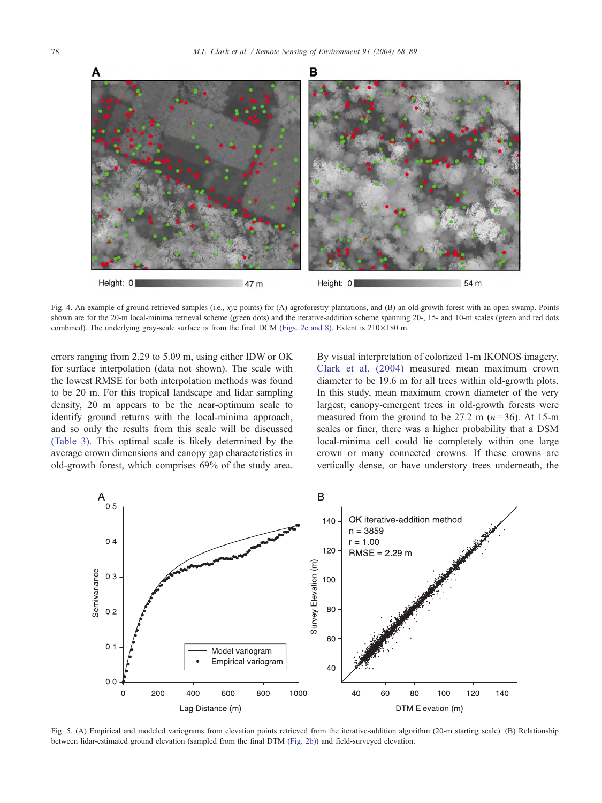<span id="page-10-0"></span>

Fig. 4. An example of ground-retrieved samples (i.e., xyz points) for (A) agroforestry plantations, and (B) an old-growth forest with an open swamp. Points shown are for the 20-m local-minima retrieval scheme (green dots) and the iterative-addition scheme spanning 20-, 15- and 10-m scales (green and red dots combined). The underlying gray-scale surface is from the final DCM [\(Figs. 2c and 8\).](#page-6-0) Extent is  $210 \times 180$  m.

errors ranging from 2.29 to 5.09 m, using either IDW or OK for surface interpolation (data not shown). The scale with the lowest RMSE for both interpolation methods was found to be 20 m. For this tropical landscape and lidar sampling density, 20 m appears to be the near-optimum scale to identify ground returns with the local-minima approach, and so only the results from this scale will be discussed [\(Table 3\).](#page-9-0) This optimal scale is likely determined by the average crown dimensions and canopy gap characteristics in old-growth forest, which comprises 69% of the study area.

By visual interpretation of colorized 1-m IKONOS imagery, [Clark et al. \(2004\)](#page-19-0) measured mean maximum crown diameter to be 19.6 m for all trees within old-growth plots. In this study, mean maximum crown diameter of the very largest, canopy-emergent trees in old-growth forests were measured from the ground to be 27.2 m  $(n=36)$ . At 15-m scales or finer, there was a higher probability that a DSM local-minima cell could lie completely within one large crown or many connected crowns. If these crowns are vertically dense, or have understory trees underneath, the



Fig. 5. (A) Empirical and modeled variograms from elevation points retrieved from the iterative-addition algorithm (20-m starting scale). (B) Relationship between lidar-estimated ground elevation (sampled from the final DTM [\(Fig. 2b\)\)](#page-6-0) and field-surveyed elevation.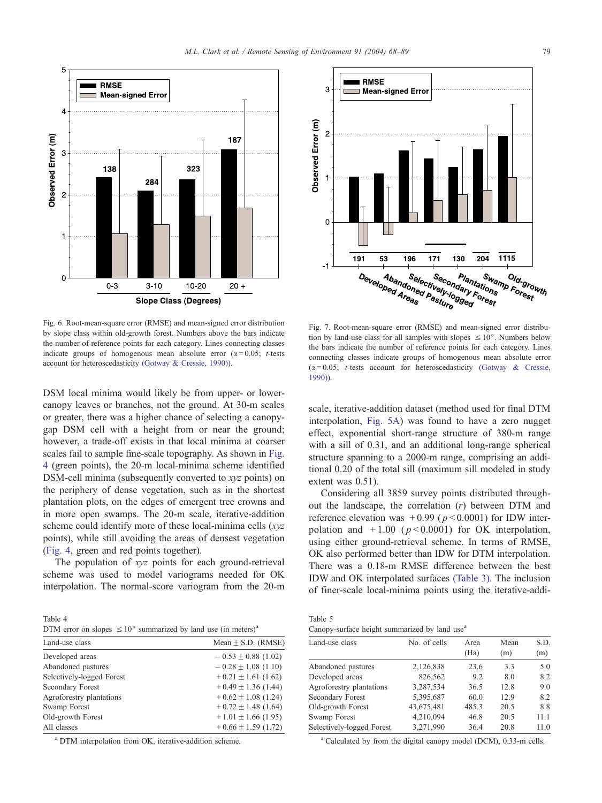<span id="page-11-0"></span>

Fig. 6. Root-mean-square error (RMSE) and mean-signed error distribution by slope class within old-growth forest. Numbers above the bars indicate the number of reference points for each category. Lines connecting classes indicate groups of homogenous mean absolute error  $(\alpha = 0.05; t\text{-tests})$ account for heteroscedasticity [\(Gotway & Cressie, 1990\)\)](#page-20-0).

DSM local minima would likely be from upper- or lowercanopy leaves or branches, not the ground. At 30-m scales or greater, there was a higher chance of selecting a canopygap DSM cell with a height from or near the ground; however, a trade-off exists in that local minima at coarser scales fail to sample fine-scale topography. As shown in [Fig.](#page-10-0) 4 (green points), the 20-m local-minima scheme identified DSM-cell minima (subsequently converted to xyz points) on the periphery of dense vegetation, such as in the shortest plantation plots, on the edges of emergent tree crowns and in more open swamps. The 20-m scale, iterative-addition scheme could identify more of these local-minima cells (xyz) points), while still avoiding the areas of densest vegetation ([Fig. 4,](#page-10-0) green and red points together).

The population of xyz points for each ground-retrieval scheme was used to model variograms needed for OK interpolation. The normal-score variogram from the 20-m

Table 4 DTM error on slopes  $\leq 10^{\circ}$  summarized by land use (in meters)<sup>a</sup>

| Land-use class            | Mean $\pm$ S.D. (RMSE)  |
|---------------------------|-------------------------|
| Developed areas           | $-0.53 \pm 0.88$ (1.02) |
| Abandoned pastures        | $-0.28 \pm 1.08$ (1.10) |
| Selectively-logged Forest | $+0.21 \pm 1.61$ (1.62) |
| Secondary Forest          | $+0.49 \pm 1.36$ (1.44) |
| Agroforestry plantations  | $+0.62 \pm 1.08$ (1.24) |
| Swamp Forest              | $+0.72 \pm 1.48$ (1.64) |
| Old-growth Forest         | $+1.01 \pm 1.66$ (1.95) |
| All classes               | $+0.66 \pm 1.59$ (1.72) |

<sup>a</sup> DTM interpolation from OK, iterative-addition scheme.

**RMSE** p Mean-signed Error Observed Error (m)  $\overline{0}$  $1115$  $\overline{191}$  $\overline{204}$ 53 196 171 130  $-1$ Abandoned Second Developed Areas Selectively-Indiant Secondary Swall<br>Ively Indary Formations<br>asture 99ed Forest Plantations<br><sup>dary Fotions</sup> Swamp Old-grov<br>tions Porest Old-growth

Fig. 7. Root-mean-square error (RMSE) and mean-signed error distribution by land-use class for all samples with slopes  $\leq 10^{\circ}$ . Numbers below the bars indicate the number of reference points for each category. Lines connecting classes indicate groups of homogenous mean absolute error  $(\alpha = 0.05; t\text{-tests account}$  for heteroscedasticity [\(Gotway & Cressie,](#page-20-0) 1990)).

scale, iterative-addition dataset (method used for final DTM interpolation, [Fig. 5A\)](#page-10-0) was found to have a zero nugget effect, exponential short-range structure of 380-m range with a sill of 0.31, and an additional long-range spherical structure spanning to a 2000-m range, comprising an additional 0.20 of the total sill (maximum sill modeled in study extent was 0.51).

Considering all 3859 survey points distributed throughout the landscape, the correlation (r) between DTM and reference elevation was  $+0.99$  ( $p < 0.0001$ ) for IDW interpolation and  $+1.00$  ( $p < 0.0001$ ) for OK interpolation, using either ground-retrieval scheme. In terms of RMSE, OK also performed better than IDW for DTM interpolation. There was a 0.18-m RMSE difference between the best IDW and OK interpolated surfaces [\(Table 3\).](#page-9-0) The inclusion of finer-scale local-minima points using the iterative-addi-

| Table 5                                                   |  |  |  |
|-----------------------------------------------------------|--|--|--|
| Canopy-surface height summarized by land use <sup>a</sup> |  |  |  |

| Land-use class            | No. of cells | Area<br>(Ha) | Mean<br>(m) | S.D.<br>(m) |
|---------------------------|--------------|--------------|-------------|-------------|
| Abandoned pastures        | 2,126,838    | 23.6         | 3.3         | 5.0         |
| Developed areas           | 826,562      | 9.2          | 8.0         | 8.2         |
| Agroforestry plantations  | 3,287,534    | 36.5         | 12.8        | 9.0         |
| <b>Secondary Forest</b>   | 5,395,687    | 60.0         | 12.9        | 8.2         |
| Old-growth Forest         | 43,675,481   | 485.3        | 20.5        | 8.8         |
| Swamp Forest              | 4,210,094    | 46.8         | 20.5        | 11.1        |
| Selectively-logged Forest | 3,271,990    | 36.4         | 20.8        | 11.0        |

<sup>a</sup> Calculated by from the digital canopy model (DCM), 0.33-m cells.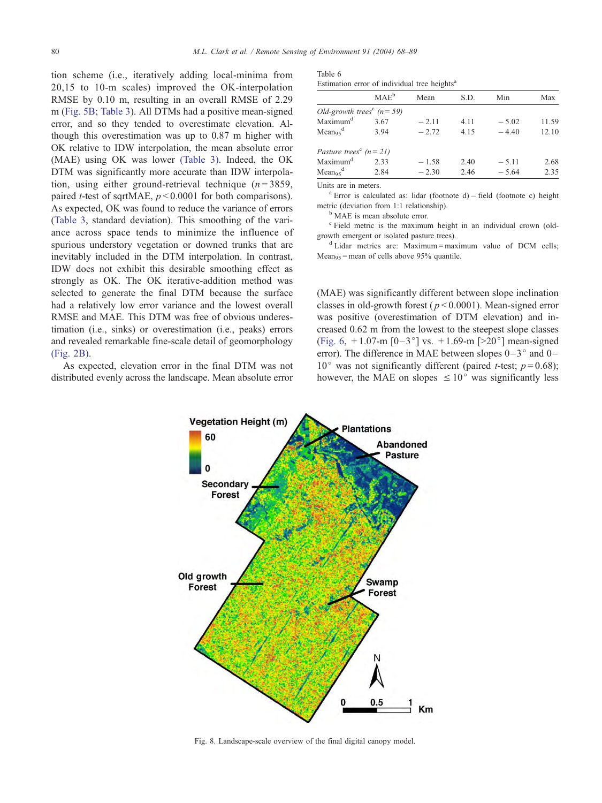<span id="page-12-0"></span>tion scheme (i.e., iteratively adding local-minima from 20,15 to 10-m scales) improved the OK-interpolation RMSE by 0.10 m, resulting in an overall RMSE of 2.29 m [\(Fig. 5B;](#page-10-0) [Table 3\)](#page-9-0). All DTMs had a positive mean-signed error, and so they tended to overestimate elevation. Although this overestimation was up to 0.87 m higher with OK relative to IDW interpolation, the mean absolute error (MAE) using OK was lower [\(Table 3\).](#page-9-0) Indeed, the OK DTM was significantly more accurate than IDW interpolation, using either ground-retrieval technique  $(n=3859,$ paired *t*-test of sqrtMAE,  $p < 0.0001$  for both comparisons). As expected, OK was found to reduce the variance of errors ([Table 3,](#page-9-0) standard deviation). This smoothing of the variance across space tends to minimize the influence of spurious understory vegetation or downed trunks that are inevitably included in the DTM interpolation. In contrast, IDW does not exhibit this desirable smoothing effect as strongly as OK. The OK iterative-addition method was selected to generate the final DTM because the surface had a relatively low error variance and the lowest overall RMSE and MAE. This DTM was free of obvious underestimation (i.e., sinks) or overestimation (i.e., peaks) errors and revealed remarkable fine-scale detail of geomorphology [\(Fig. 2B\).](#page-6-0)

As expected, elevation error in the final DTM was not distributed evenly across the landscape. Mean absolute error

| Table 6                                                  |  |  |  |
|----------------------------------------------------------|--|--|--|
| Estimation error of individual tree heights <sup>a</sup> |  |  |  |

| MAE <sup>b</sup>                           |      | Mean    | S.D. |         | Max   |  |
|--------------------------------------------|------|---------|------|---------|-------|--|
| Old-growth trees <sup>c</sup> ( $n = 59$ ) |      |         |      |         |       |  |
| Maximum <sup>d</sup>                       | 3.67 | $-2.11$ | 4.11 | $-5.02$ | 11.59 |  |
| Mean <sub>95</sub> <sup>d</sup>            | 3.94 | $-2.72$ | 4.15 | $-4.40$ | 12.10 |  |
| Pasture trees <sup>c</sup> $(n=21)$        |      |         |      |         |       |  |
| Maximum <sup>d</sup>                       | 2.33 | $-1.58$ | 2.40 | $-5.11$ | 2.68  |  |
| $Mean_{95}^d$                              | 2.84 | $-2.30$ | 2.46 | $-5.64$ | 2.35  |  |

Units are in meters.<br><sup>a</sup> Error is calculated as: lidar (footnote d) – field (footnote c) height metric (deviation from 1:1 relationship).

<sup>b</sup> MAE is mean absolute error.

<sup>c</sup> Field metric is the maximum height in an individual crown (oldgrowth emergent or isolated pasture trees).

<sup>d</sup> Lidar metrics are: Maximum = maximum value of DCM cells; Mean<sub>95</sub> = mean of cells above 95% quantile.

(MAE) was significantly different between slope inclination classes in old-growth forest ( $p < 0.0001$ ). Mean-signed error was positive (overestimation of DTM elevation) and increased 0.62 m from the lowest to the steepest slope classes ([Fig. 6,](#page-11-0)  $+1.07$ -m  $[0-3^{\circ}]$  vs.  $+1.69$ -m  $[>20^{\circ}]$  mean-signed error). The difference in MAE between slopes  $0-3^{\circ}$  and  $0-$ 10° was not significantly different (paired *t*-test;  $p = 0.68$ ); however, the MAE on slopes  $\leq 10^{\circ}$  was significantly less



Fig. 8. Landscape-scale overview of the final digital canopy model.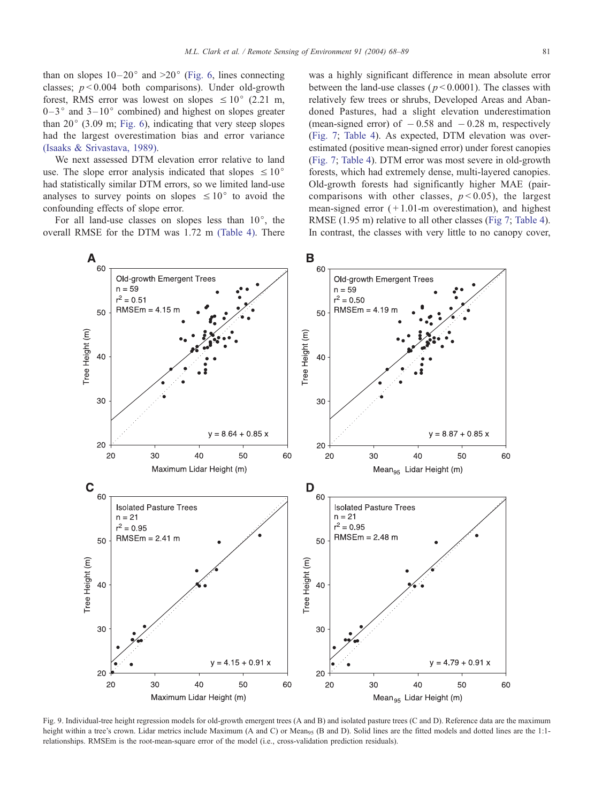<span id="page-13-0"></span>than on slopes  $10-20^{\circ}$  and  $>20^{\circ}$  ([Fig. 6,](#page-11-0) lines connecting classes;  $p < 0.004$  both comparisons). Under old-growth forest, RMS error was lowest on slopes  $\leq 10^{\circ}$  (2.21 m,  $0-3^{\circ}$  and  $3-10^{\circ}$  combined) and highest on slopes greater than  $20^{\circ}$  (3.09 m; [Fig. 6\)](#page-11-0), indicating that very steep slopes had the largest overestimation bias and error variance [\(Isaaks & Srivastava, 1989\).](#page-20-0)

We next assessed DTM elevation error relative to land use. The slope error analysis indicated that slopes  $\leq 10^{\circ}$ had statistically similar DTM errors, so we limited land-use analyses to survey points on slopes  $\leq 10^{\circ}$  to avoid the confounding effects of slope error.

For all land-use classes on slopes less than  $10^{\circ}$ , the overall RMSE for the DTM was 1.72 m [\(Table 4\).](#page-11-0) There

was a highly significant difference in mean absolute error between the land-use classes ( $p < 0.0001$ ). The classes with relatively few trees or shrubs, Developed Areas and Abandoned Pastures, had a slight elevation underestimation (mean-signed error) of  $-0.58$  and  $-0.28$  m, respectively ([Fig. 7;](#page-11-0) [Table 4\)](#page-11-0). As expected, DTM elevation was overestimated (positive mean-signed error) under forest canopies ([Fig. 7;](#page-11-0) [Table 4\)](#page-11-0). DTM error was most severe in old-growth forests, which had extremely dense, multi-layered canopies. Old-growth forests had significantly higher MAE (paircomparisons with other classes,  $p < 0.05$ ), the largest mean-signed error  $(+1.01-m)$  overestimation), and highest RMSE (1.95 m) relative to all other classes ([Fig 7;](#page-11-0) [Table 4\)](#page-11-0). In contrast, the classes with very little to no canopy cover,



Fig. 9. Individual-tree height regression models for old-growth emergent trees (A and B) and isolated pasture trees (C and D). Reference data are the maximum height within a tree's crown. Lidar metrics include Maximum (A and C) or Mean<sub>95</sub> (B and D). Solid lines are the fitted models and dotted lines are the 1:1relationships. RMSEm is the root-mean-square error of the model (i.e., cross-validation prediction residuals).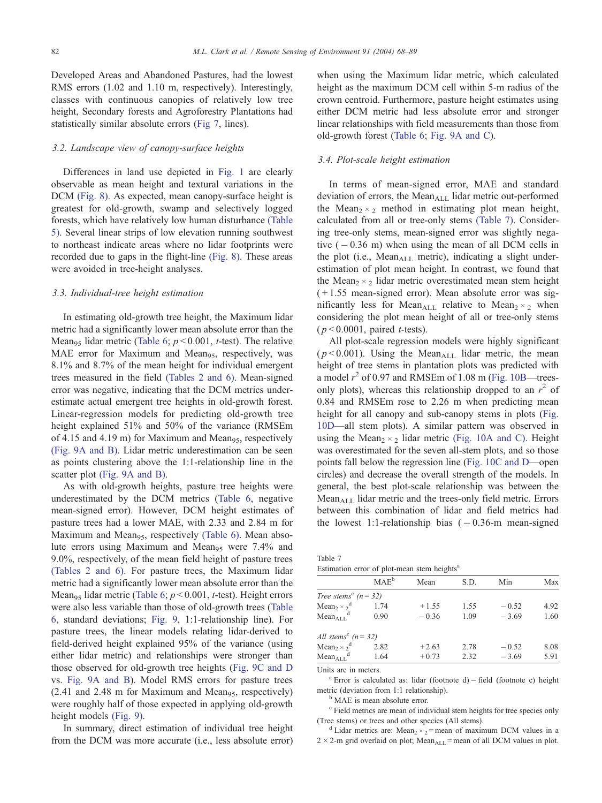<span id="page-14-0"></span>Developed Areas and Abandoned Pastures, had the lowest RMS errors (1.02 and 1.10 m, respectively). Interestingly, classes with continuous canopies of relatively low tree height, Secondary forests and Agroforestry Plantations had statistically similar absolute errors ([Fig 7,](#page-11-0) lines).

# 3.2. Landscape view of canopy-surface heights

Differences in land use depicted in [Fig. 1](#page-4-0) are clearly observable as mean height and textural variations in the DCM [\(Fig. 8\).](#page-12-0) As expected, mean canopy-surface height is greatest for old-growth, swamp and selectively logged forests, which have relatively low human disturbance [\(Table](#page-11-0) 5). Several linear strips of low elevation running southwest to northeast indicate areas where no lidar footprints were recorded due to gaps in the flight-line [\(Fig. 8\).](#page-12-0) These areas were avoided in tree-height analyses.

## 3.3. Individual-tree height estimation

In estimating old-growth tree height, the Maximum lidar metric had a significantly lower mean absolute error than the Mean<sub>95</sub> lidar metric ([Table 6;](#page-12-0)  $p < 0.001$ , *t*-test). The relative MAE error for Maximum and Mean<sub>95</sub>, respectively, was 8.1% and 8.7% of the mean height for individual emergent trees measured in the field [\(Tables 2 and 6\).](#page-5-0) Mean-signed error was negative, indicating that the DCM metrics underestimate actual emergent tree heights in old-growth forest. Linear-regression models for predicting old-growth tree height explained 51% and 50% of the variance (RMSEm of 4.15 and 4.19 m) for Maximum and Mean<sub>95</sub>, respectively [\(Fig. 9A and B\).](#page-13-0) Lidar metric underestimation can be seen as points clustering above the 1:1-relationship line in the scatter plot [\(Fig. 9A and B\).](#page-13-0)

As with old-growth heights, pasture tree heights were underestimated by the DCM metrics ([Table 6,](#page-12-0) negative mean-signed error). However, DCM height estimates of pasture trees had a lower MAE, with 2.33 and 2.84 m for Maximum and Mean<sub>95</sub>, respectively [\(Table 6\).](#page-12-0) Mean absolute errors using Maximum and Mean<sub>95</sub> were 7.4% and 9.0%, respectively, of the mean field height of pasture trees [\(Tables 2 and 6\).](#page-5-0) For pasture trees, the Maximum lidar metric had a significantly lower mean absolute error than the Mean<sub>95</sub> lidar metric ([Table 6;](#page-12-0)  $p < 0.001$ , *t*-test). Height errors were also less variable than those of old-growth trees ([Table](#page-12-0) 6, standard deviations; [Fig. 9,](#page-13-0) 1:1-relationship line). For pasture trees, the linear models relating lidar-derived to field-derived height explained 95% of the variance (using either lidar metric) and relationships were stronger than those observed for old-growth tree heights ([Fig. 9C and D](#page-13-0) vs. [Fig. 9A and B\)](#page-13-0). Model RMS errors for pasture trees  $(2.41$  and  $2.48$  m for Maximum and Mean<sub>95</sub>, respectively) were roughly half of those expected in applying old-growth height models [\(Fig. 9\).](#page-13-0)

In summary, direct estimation of individual tree height from the DCM was more accurate (i.e., less absolute error) when using the Maximum lidar metric, which calculated height as the maximum DCM cell within 5-m radius of the crown centroid. Furthermore, pasture height estimates using either DCM metric had less absolute error and stronger linear relationships with field measurements than those from old-growth forest ([Table 6;](#page-12-0) [Fig. 9A and C\)](#page-13-0).

## 3.4. Plot-scale height estimation

In terms of mean-signed error, MAE and standard deviation of errors, the Mean $_{\text{ALL}}$  lidar metric out-performed the Mean<sub>2</sub>  $\times$ <sub>2</sub> method in estimating plot mean height, calculated from all or tree-only stems (Table 7). Considering tree-only stems, mean-signed error was slightly negative  $(-0.36 \text{ m})$  when using the mean of all DCM cells in the plot (i.e., Mean $_{\text{ALL}}$  metric), indicating a slight underestimation of plot mean height. In contrast, we found that the Mean<sub>2</sub>  $\times$ <sub>2</sub> lidar metric overestimated mean stem height  $(+1.55$  mean-signed error). Mean absolute error was significantly less for Mean<sub>ALL</sub> relative to Mean<sub>2</sub>  $\times$ <sub>2</sub> when considering the plot mean height of all or tree-only stems  $(p < 0.0001$ , paired *t*-tests).

All plot-scale regression models were highly significant ( $p$ <0.001). Using the Mean<sub>ALL</sub> lidar metric, the mean height of tree stems in plantation plots was predicted with a model  $r^2$  of 0.97 and RMSEm of 1.08 m ([Fig. 10B—](#page-15-0)treesonly plots), whereas this relationship dropped to an  $r^2$  of 0.84 and RMSEm rose to 2.26 m when predicting mean height for all canopy and sub-canopy stems in plots ([Fig.](#page-15-0) 10D—all stem plots). A similar pattern was observed in using the Mean<sub>2</sub>  $\times$ <sub>2</sub> lidar metric [\(Fig. 10A and C\).](#page-15-0) Height was overestimated for the seven all-stem plots, and so those points fall below the regression line ([Fig. 10C and D—](#page-15-0)open circles) and decrease the overall strength of the models. In general, the best plot-scale relationship was between the  $Mean_{ALL}$  lidar metric and the trees-only field metric. Errors between this combination of lidar and field metrics had the lowest 1:1-relationship bias  $(-0.36$ -m mean-signed

| Table 7                                                 |  |  |  |
|---------------------------------------------------------|--|--|--|
| Estimation error of plot-mean stem heights <sup>a</sup> |  |  |  |

|                                                      | MAE <sup>b</sup> | Mean    | S.D. | Min     | Max  |
|------------------------------------------------------|------------------|---------|------|---------|------|
| Tree stems <sup>c</sup> $(n = 32)$                   |                  |         |      |         |      |
| Mean <sub>2</sub> $\times$ <sub>2</sub> <sup>d</sup> | 1.74             | $+1.55$ | 1.55 | $-0.52$ | 4.92 |
| $Mean_{ALI}$ <sup>d</sup>                            | 0.90             | $-0.36$ | 1.09 | $-3.69$ | 1.60 |
| All stems <sup>c</sup> $(n = 32)$                    |                  |         |      |         |      |
| Mean <sub>2</sub> $\times$ <sup>d</sup>              | 2.82             | $+2.63$ | 2.78 | $-0.52$ | 8.08 |
| $Mean_{ALL}^d$                                       | 1.64             | $+0.73$ | 2.32 | $-3.69$ | 5.91 |

Units are in meters.

 $a$  Error is calculated as: lidar (footnote d) - field (footnote c) height metric (deviation from 1:1 relationship).<br><sup>b</sup> MAE is mean absolute error.

<sup>c</sup> Field metrics are mean of individual stem heights for tree species only (Tree stems) or trees and other species (All stems).

<sup>d</sup> Lidar metrics are: Mean<sub>2</sub>  $\times$ <sub>2</sub> = mean of maximum DCM values in a  $2 \times 2$ -m grid overlaid on plot; Mean<sub>ALL</sub> = mean of all DCM values in plot.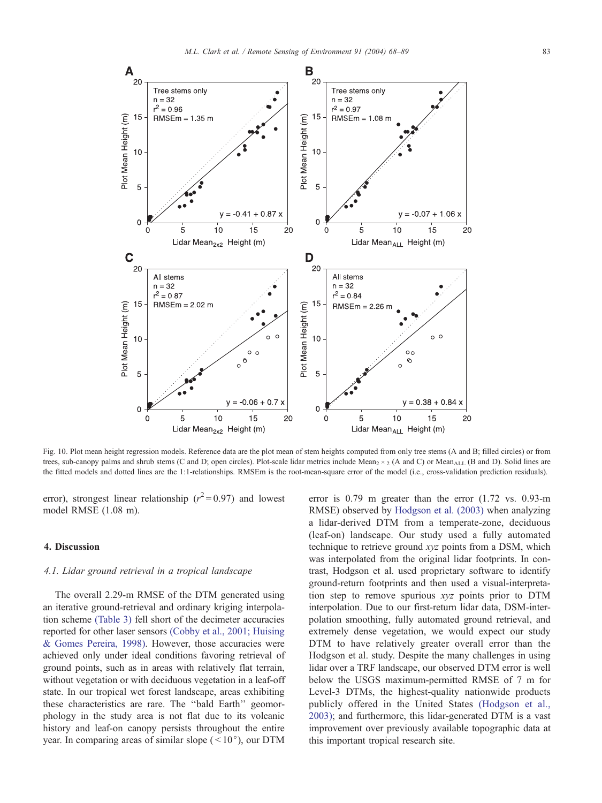<span id="page-15-0"></span>

Fig. 10. Plot mean height regression models. Reference data are the plot mean of stem heights computed from only tree stems (A and B; filled circles) or from trees, sub-canopy palms and shrub stems (C and D; open circles). Plot-scale lidar metrics include Mean<sub>2</sub>  $\times$  2 (A and C) or Mean<sub>ALL</sub> (B and D). Solid lines are the fitted models and dotted lines are the 1:1-relationships. RMSEm is the root-mean-square error of the model (i.e., cross-validation prediction residuals).

error), strongest linear relationship ( $r^2 = 0.97$ ) and lowest model RMSE (1.08 m).

## 4. Discussion

## 4.1. Lidar ground retrieval in a tropical landscape

The overall 2.29-m RMSE of the DTM generated using an iterative ground-retrieval and ordinary kriging interpolation scheme [\(Table 3\)](#page-9-0) fell short of the decimeter accuracies reported for other laser sensors [\(Cobby et al., 2001; Huising](#page-19-0) & Gomes Pereira, 1998). However, those accuracies were achieved only under ideal conditions favoring retrieval of ground points, such as in areas with relatively flat terrain, without vegetation or with deciduous vegetation in a leaf-off state. In our tropical wet forest landscape, areas exhibiting these characteristics are rare. The ''bald Earth'' geomorphology in the study area is not flat due to its volcanic history and leaf-on canopy persists throughout the entire year. In comparing areas of similar slope  $(<10^{\circ})$ , our DTM

error is 0.79 m greater than the error (1.72 vs. 0.93-m RMSE) observed by [Hodgson et al. \(2003\)](#page-20-0) when analyzing a lidar-derived DTM from a temperate-zone, deciduous (leaf-on) landscape. Our study used a fully automated technique to retrieve ground xyz points from a DSM, which was interpolated from the original lidar footprints. In contrast, Hodgson et al. used proprietary software to identify ground-return footprints and then used a visual-interpretation step to remove spurious xyz points prior to DTM interpolation. Due to our first-return lidar data, DSM-interpolation smoothing, fully automated ground retrieval, and extremely dense vegetation, we would expect our study DTM to have relatively greater overall error than the Hodgson et al. study. Despite the many challenges in using lidar over a TRF landscape, our observed DTM error is well below the USGS maximum-permitted RMSE of 7 m for Level-3 DTMs, the highest-quality nationwide products publicly offered in the United States [\(Hodgson et al.,](#page-20-0) 2003); and furthermore, this lidar-generated DTM is a vast improvement over previously available topographic data at this important tropical research site.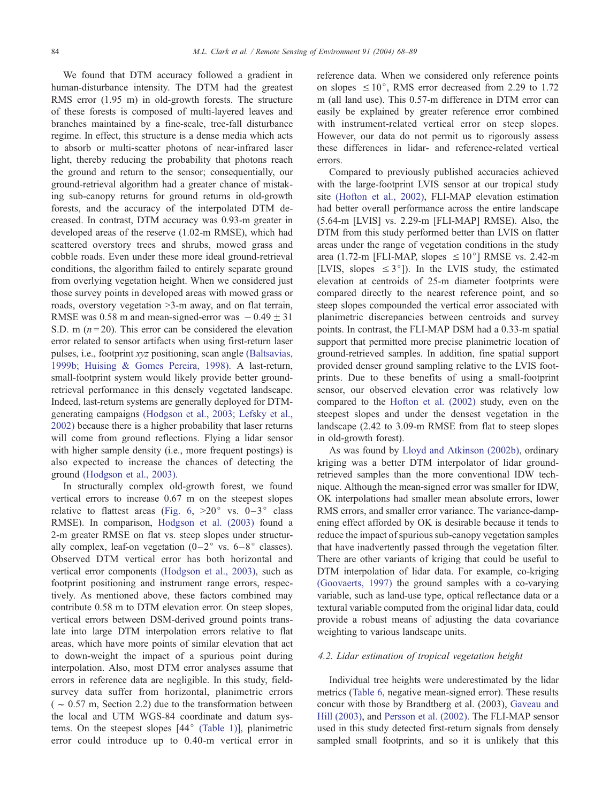We found that DTM accuracy followed a gradient in human-disturbance intensity. The DTM had the greatest RMS error (1.95 m) in old-growth forests. The structure of these forests is composed of multi-layered leaves and branches maintained by a fine-scale, tree-fall disturbance regime. In effect, this structure is a dense media which acts to absorb or multi-scatter photons of near-infrared laser light, thereby reducing the probability that photons reach the ground and return to the sensor; consequentially, our ground-retrieval algorithm had a greater chance of mistaking sub-canopy returns for ground returns in old-growth forests, and the accuracy of the interpolated DTM decreased. In contrast, DTM accuracy was 0.93-m greater in developed areas of the reserve (1.02-m RMSE), which had scattered overstory trees and shrubs, mowed grass and cobble roads. Even under these more ideal ground-retrieval conditions, the algorithm failed to entirely separate ground from overlying vegetation height. When we considered just those survey points in developed areas with mowed grass or roads, overstory vegetation >3-m away, and on flat terrain, RMSE was 0.58 m and mean-signed-error was  $-0.49 \pm 31$ S.D. m ( $n = 20$ ). This error can be considered the elevation error related to sensor artifacts when using first-return laser pulses, i.e., footprint xyz positioning, scan angle [\(Baltsavias,](#page-19-0) 1999b; Huising & Gomes Pereira, 1998). A last-return, small-footprint system would likely provide better groundretrieval performance in this densely vegetated landscape. Indeed, last-return systems are generally deployed for DTMgenerating campaigns [\(Hodgson et al., 2003; Lefsky et al.,](#page-20-0) 2002) because there is a higher probability that laser returns will come from ground reflections. Flying a lidar sensor with higher sample density (i.e., more frequent postings) is also expected to increase the chances of detecting the ground [\(Hodgson et al., 2003\).](#page-20-0)

In structurally complex old-growth forest, we found vertical errors to increase 0.67 m on the steepest slopes relative to flattest areas ([Fig. 6,](#page-11-0)  $>20^{\circ}$  vs.  $0-3^{\circ}$  class RMSE). In comparison, [Hodgson et al. \(2003\)](#page-20-0) found a 2-m greater RMSE on flat vs. steep slopes under structurally complex, leaf-on vegetation  $(0-2^{\circ}$  vs.  $6-8^{\circ}$  classes). Observed DTM vertical error has both horizontal and vertical error components [\(Hodgson et al., 2003\),](#page-20-0) such as footprint positioning and instrument range errors, respectively. As mentioned above, these factors combined may contribute 0.58 m to DTM elevation error. On steep slopes, vertical errors between DSM-derived ground points translate into large DTM interpolation errors relative to flat areas, which have more points of similar elevation that act to down-weight the impact of a spurious point during interpolation. Also, most DTM error analyses assume that errors in reference data are negligible. In this study, fieldsurvey data suffer from horizontal, planimetric errors  $(-0.57 \text{ m}, \text{Section 2.2})$  due to the transformation between the local and UTM WGS-84 coordinate and datum systems. On the steepest slopes  $[44^\circ$  [\(Table 1\)\]](#page-5-0), planimetric error could introduce up to 0.40-m vertical error in

reference data. When we considered only reference points on slopes  $\leq 10^{\circ}$ , RMS error decreased from 2.29 to 1.72 m (all land use). This 0.57-m difference in DTM error can easily be explained by greater reference error combined with instrument-related vertical error on steep slopes. However, our data do not permit us to rigorously assess these differences in lidar- and reference-related vertical errors.

Compared to previously published accuracies achieved with the large-footprint LVIS sensor at our tropical study site [\(Hofton et al., 2002\),](#page-20-0) FLI-MAP elevation estimation had better overall performance across the entire landscape (5.64-m [LVIS] vs. 2.29-m [FLI-MAP] RMSE). Also, the DTM from this study performed better than LVIS on flatter areas under the range of vegetation conditions in the study area (1.72-m [FLI-MAP, slopes  $\leq 10^{\circ}$ ] RMSE vs. 2.42-m [LVIS, slopes  $\leq 3^{\circ}$ ]). In the LVIS study, the estimated elevation at centroids of 25-m diameter footprints were compared directly to the nearest reference point, and so steep slopes compounded the vertical error associated with planimetric discrepancies between centroids and survey points. In contrast, the FLI-MAP DSM had a 0.33-m spatial support that permitted more precise planimetric location of ground-retrieved samples. In addition, fine spatial support provided denser ground sampling relative to the LVIS footprints. Due to these benefits of using a small-footprint sensor, our observed elevation error was relatively low compared to the [Hofton et al. \(2002\)](#page-20-0) study, even on the steepest slopes and under the densest vegetation in the landscape (2.42 to 3.09-m RMSE from flat to steep slopes in old-growth forest).

As was found by [Lloyd and Atkinson \(2002b\),](#page-20-0) ordinary kriging was a better DTM interpolator of lidar groundretrieved samples than the more conventional IDW technique. Although the mean-signed error was smaller for IDW, OK interpolations had smaller mean absolute errors, lower RMS errors, and smaller error variance. The variance-dampening effect afforded by OK is desirable because it tends to reduce the impact of spurious sub-canopy vegetation samples that have inadvertently passed through the vegetation filter. There are other variants of kriging that could be useful to DTM interpolation of lidar data. For example, co-kriging [\(Goovaerts, 1997\)](#page-20-0) the ground samples with a co-varying variable, such as land-use type, optical reflectance data or a textural variable computed from the original lidar data, could provide a robust means of adjusting the data covariance weighting to various landscape units.

## 4.2. Lidar estimation of tropical vegetation height

Individual tree heights were underestimated by the lidar metrics ([Table 6,](#page-12-0) negative mean-signed error). These results concur with those by Brandtberg et al. (2003), [Gaveau and](#page-20-0) Hill (2003), and [Persson et al. \(2002\).](#page-20-0) The FLI-MAP sensor used in this study detected first-return signals from densely sampled small footprints, and so it is unlikely that this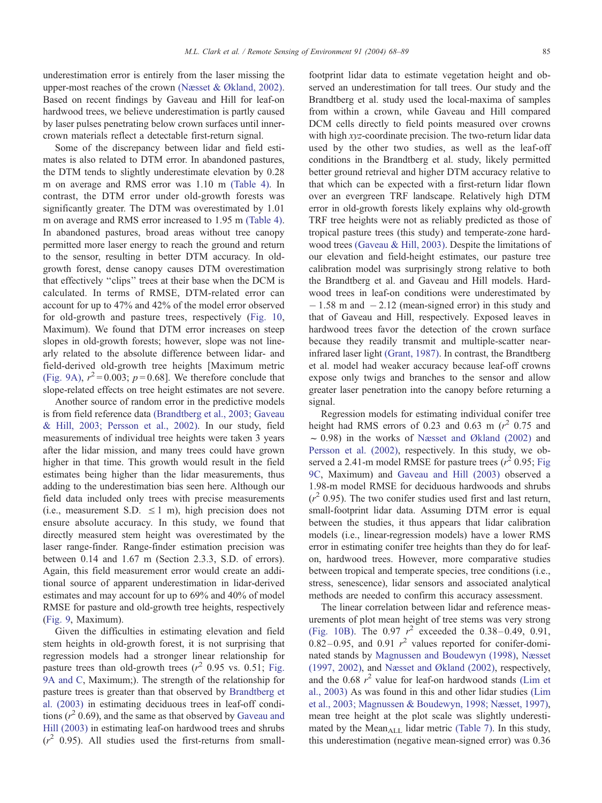underestimation error is entirely from the laser missing the upper-most reaches of the crown [\(Næsset & Økland, 2002\).](#page-20-0) Based on recent findings by Gaveau and Hill for leaf-on hardwood trees, we believe underestimation is partly caused by laser pulses penetrating below crown surfaces until innercrown materials reflect a detectable first-return signal.

Some of the discrepancy between lidar and field estimates is also related to DTM error. In abandoned pastures, the DTM tends to slightly underestimate elevation by 0.28 m on average and RMS error was 1.10 m [\(Table 4\).](#page-11-0) In contrast, the DTM error under old-growth forests was significantly greater. The DTM was overestimated by 1.01 m on average and RMS error increased to 1.95 m [\(Table 4\).](#page-11-0) In abandoned pastures, broad areas without tree canopy permitted more laser energy to reach the ground and return to the sensor, resulting in better DTM accuracy. In oldgrowth forest, dense canopy causes DTM overestimation that effectively ''clips'' trees at their base when the DCM is calculated. In terms of RMSE, DTM-related error can account for up to 47% and 42% of the model error observed for old-growth and pasture trees, respectively ([Fig. 10,](#page-15-0) Maximum). We found that DTM error increases on steep slopes in old-growth forests; however, slope was not linearly related to the absolute difference between lidar- and field-derived old-growth tree heights [Maximum metric [\(Fig. 9A\),](#page-13-0)  $r^2 = 0.003$ ;  $p = 0.68$ ]. We therefore conclude that slope-related effects on tree height estimates are not severe.

Another source of random error in the predictive models is from field reference data [\(Brandtberg et al., 2003; Gaveau](#page-19-0) & Hill, 2003; Persson et al., 2002). In our study, field measurements of individual tree heights were taken 3 years after the lidar mission, and many trees could have grown higher in that time. This growth would result in the field estimates being higher than the lidar measurements, thus adding to the underestimation bias seen here. Although our field data included only trees with precise measurements (i.e., measurement S.D.  $\leq 1$  m), high precision does not ensure absolute accuracy. In this study, we found that directly measured stem height was overestimated by the laser range-finder. Range-finder estimation precision was between 0.14 and 1.67 m (Section 2.3.3, S.D. of errors). Again, this field measurement error would create an additional source of apparent underestimation in lidar-derived estimates and may account for up to 69% and 40% of model RMSE for pasture and old-growth tree heights, respectively ([Fig. 9,](#page-13-0) Maximum).

Given the difficulties in estimating elevation and field stem heights in old-growth forest, it is not surprising that regression models had a stronger linear relationship for pasture trees than old-growth trees  $(r^2 \ 0.95 \text{ vs. } 0.51; \text{ Fig.}$  $(r^2 \ 0.95 \text{ vs. } 0.51; \text{ Fig.}$  $(r^2 \ 0.95 \text{ vs. } 0.51; \text{ Fig.}$ 9A and C, Maximum;). The strength of the relationship for pasture trees is greater than that observed by [Brandtberg et](#page-19-0) al. (2003) in estimating deciduous trees in leaf-off conditions  $(r^2 \ 0.69)$ , and the same as that observed by [Gaveau and](#page-20-0) Hill (2003) in estimating leaf-on hardwood trees and shrubs  $(r^2 \t0.95)$ . All studies used the first-returns from smallfootprint lidar data to estimate vegetation height and observed an underestimation for tall trees. Our study and the Brandtberg et al. study used the local-maxima of samples from within a crown, while Gaveau and Hill compared DCM cells directly to field points measured over crowns with high xyz-coordinate precision. The two-return lidar data used by the other two studies, as well as the leaf-off conditions in the Brandtberg et al. study, likely permitted better ground retrieval and higher DTM accuracy relative to that which can be expected with a first-return lidar flown over an evergreen TRF landscape. Relatively high DTM error in old-growth forests likely explains why old-growth TRF tree heights were not as reliably predicted as those of tropical pasture trees (this study) and temperate-zone hardwood trees [\(Gaveau & Hill, 2003\).](#page-20-0) Despite the limitations of our elevation and field-height estimates, our pasture tree calibration model was surprisingly strong relative to both the Brandtberg et al. and Gaveau and Hill models. Hardwood trees in leaf-on conditions were underestimated by  $-1.58$  m and  $-2.12$  (mean-signed error) in this study and that of Gaveau and Hill, respectively. Exposed leaves in hardwood trees favor the detection of the crown surface because they readily transmit and multiple-scatter nearinfrared laser light [\(Grant, 1987\).](#page-20-0) In contrast, the Brandtberg et al. model had weaker accuracy because leaf-off crowns expose only twigs and branches to the sensor and allow greater laser penetration into the canopy before returning a signal.

Regression models for estimating individual conifer tree height had RMS errors of 0.23 and 0.63 m  $(r^2)$  0.75 and  $\sim$  0.98) in the works of [Næsset and Økland \(2002\)](#page-20-0) and [Persson et al. \(2002\),](#page-20-0) respectively. In this study, we observed a 2.41-m model RMSE for pasture trees  $(r^2 \ 0.95;$  [Fig](#page-13-0) 9C, Maximum) and [Gaveau and Hill \(2003\)](#page-20-0) observed a 1.98-m model RMSE for deciduous hardwoods and shrubs  $(r^2 0.95)$ . The two conifer studies used first and last return, small-footprint lidar data. Assuming DTM error is equal between the studies, it thus appears that lidar calibration models (i.e., linear-regression models) have a lower RMS error in estimating conifer tree heights than they do for leafon, hardwood trees. However, more comparative studies between tropical and temperate species, tree conditions (i.e., stress, senescence), lidar sensors and associated analytical methods are needed to confirm this accuracy assessment.

The linear correlation between lidar and reference measurements of plot mean height of tree stems was very strong [\(Fig. 10B\).](#page-15-0) The 0.97  $r^2$  exceeded the 0.38–0.49, 0.91,  $0.82 - 0.95$ , and  $0.91$   $r<sup>2</sup>$  values reported for conifer-dominated stands by [Magnussen and Boudewyn \(1998\),](#page-20-0) [Næsset](#page-20-0) (1997, 2002), and [Næsset and Økland \(2002\),](#page-20-0) respectively, and the  $0.68 \rvert r^2$  value for leaf-on hardwood stands [\(Lim et](#page-20-0) al., 2003) As was found in this and other lidar studies [\(Lim](#page-20-0) et al., 2003; Magnussen & Boudewyn, 1998; Næsset, 1997), mean tree height at the plot scale was slightly underesti-mated by the Mean<sub>ALL</sub> lidar metric [\(Table 7\).](#page-14-0) In this study, this underestimation (negative mean-signed error) was 0.36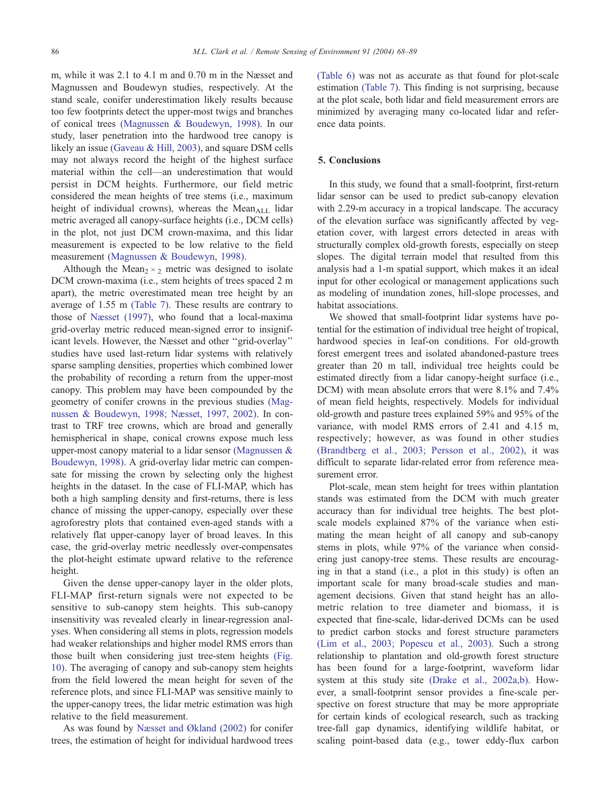m, while it was 2.1 to 4.1 m and 0.70 m in the Næsset and Magnussen and Boudewyn studies, respectively. At the stand scale, conifer underestimation likely results because too few footprints detect the upper-most twigs and branches of conical trees [\(Magnussen & Boudewyn, 1998\).](#page-20-0) In our study, laser penetration into the hardwood tree canopy is likely an issue [\(Gaveau & Hill, 2003\),](#page-20-0) and square DSM cells may not always record the height of the highest surface material within the cell—an underestimation that would persist in DCM heights. Furthermore, our field metric considered the mean heights of tree stems (i.e., maximum height of individual crowns), whereas the Mean $_{\text{ALL}}$  lidar metric averaged all canopy-surface heights (i.e., DCM cells) in the plot, not just DCM crown-maxima, and this lidar measurement is expected to be low relative to the field measurement [\(Magnussen & Boudewyn, 1998\).](#page-20-0)

Although the Mean<sub>2</sub>  $\times$ <sub>2</sub> metric was designed to isolate DCM crown-maxima (i.e., stem heights of trees spaced 2 m apart), the metric overestimated mean tree height by an average of 1.55 m [\(Table 7\).](#page-14-0) These results are contrary to those of [Næsset \(1997\),](#page-20-0) who found that a local-maxima grid-overlay metric reduced mean-signed error to insignificant levels. However, the Næsset and other ''grid-overlay'' studies have used last-return lidar systems with relatively sparse sampling densities, properties which combined lower the probability of recording a return from the upper-most canopy. This problem may have been compounded by the geometry of conifer crowns in the previous studies [\(Mag](#page-20-0)nussen & Boudewyn, 1998; Næsset, 1997, 2002). In contrast to TRF tree crowns, which are broad and generally hemispherical in shape, conical crowns expose much less upper-most canopy material to a lidar sensor [\(Magnussen &](#page-20-0) Boudewyn, 1998). A grid-overlay lidar metric can compensate for missing the crown by selecting only the highest heights in the dataset. In the case of FLI-MAP, which has both a high sampling density and first-returns, there is less chance of missing the upper-canopy, especially over these agroforestry plots that contained even-aged stands with a relatively flat upper-canopy layer of broad leaves. In this case, the grid-overlay metric needlessly over-compensates the plot-height estimate upward relative to the reference height.

Given the dense upper-canopy layer in the older plots, FLI-MAP first-return signals were not expected to be sensitive to sub-canopy stem heights. This sub-canopy insensitivity was revealed clearly in linear-regression analyses. When considering all stems in plots, regression models had weaker relationships and higher model RMS errors than those built when considering just tree-stem heights [\(Fig.](#page-15-0) 10). The averaging of canopy and sub-canopy stem heights from the field lowered the mean height for seven of the reference plots, and since FLI-MAP was sensitive mainly to the upper-canopy trees, the lidar metric estimation was high relative to the field measurement.

As was found by [Næsset and Økland \(2002\)](#page-20-0) for conifer trees, the estimation of height for individual hardwood trees

[\(Table 6\)](#page-12-0) was not as accurate as that found for plot-scale estimation [\(Table 7\).](#page-14-0) This finding is not surprising, because at the plot scale, both lidar and field measurement errors are minimized by averaging many co-located lidar and reference data points.

# 5. Conclusions

In this study, we found that a small-footprint, first-return lidar sensor can be used to predict sub-canopy elevation with 2.29-m accuracy in a tropical landscape. The accuracy of the elevation surface was significantly affected by vegetation cover, with largest errors detected in areas with structurally complex old-growth forests, especially on steep slopes. The digital terrain model that resulted from this analysis had a 1-m spatial support, which makes it an ideal input for other ecological or management applications such as modeling of inundation zones, hill-slope processes, and habitat associations.

We showed that small-footprint lidar systems have potential for the estimation of individual tree height of tropical, hardwood species in leaf-on conditions. For old-growth forest emergent trees and isolated abandoned-pasture trees greater than 20 m tall, individual tree heights could be estimated directly from a lidar canopy-height surface (i.e., DCM) with mean absolute errors that were 8.1% and 7.4% of mean field heights, respectively. Models for individual old-growth and pasture trees explained 59% and 95% of the variance, with model RMS errors of 2.41 and 4.15 m, respectively; however, as was found in other studies [\(Brandtberg et al., 2003; Persson et al., 2002\),](#page-19-0) it was difficult to separate lidar-related error from reference measurement error.

Plot-scale, mean stem height for trees within plantation stands was estimated from the DCM with much greater accuracy than for individual tree heights. The best plotscale models explained 87% of the variance when estimating the mean height of all canopy and sub-canopy stems in plots, while 97% of the variance when considering just canopy-tree stems. These results are encouraging in that a stand (i.e., a plot in this study) is often an important scale for many broad-scale studies and management decisions. Given that stand height has an allometric relation to tree diameter and biomass, it is expected that fine-scale, lidar-derived DCMs can be used to predict carbon stocks and forest structure parameters [\(Lim et al., 2003; Popescu et al., 2003\).](#page-20-0) Such a strong relationship to plantation and old-growth forest structure has been found for a large-footprint, waveform lidar system at this study site [\(Drake et al., 2002a,b\).](#page-19-0) However, a small-footprint sensor provides a fine-scale perspective on forest structure that may be more appropriate for certain kinds of ecological research, such as tracking tree-fall gap dynamics, identifying wildlife habitat, or scaling point-based data (e.g., tower eddy-flux carbon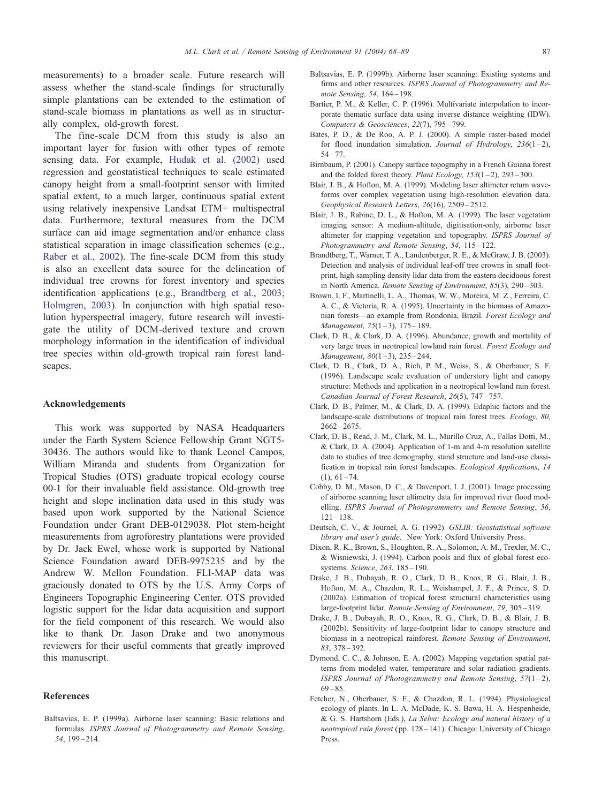<span id="page-19-0"></span>measurements) to a broader scale. Future research will assess whether the stand-scale findings for structurally simple plantations can be extended to the estimation of stand-scale biomass in plantations as well as in structurally complex, old-growth forest.

The fine-scale DCM from this study is also an important layer for fusion with other types of remote sensing data. For example, [Hudak et al. \(2002\)](#page-20-0) used regression and geostatistical techniques to scale estimated canopy height from a small-footprint sensor with limited spatial extent, to a much larger, continuous spatial extent using relatively inexpensive Landsat ETM+ multispectral data. Furthermore, textural measures from the DCM surface can aid image segmentation and/or enhance class statistical separation in image classification schemes (e.g., [Raber et al., 2002\)](#page-20-0). The fine-scale DCM from this study is also an excellent data source for the delineation of individual tree crowns for forest inventory and species identification applications (e.g., Brandtberg et al., 2003; Holmgren, 2003). In conjunction with high spatial resolution hyperspectral imagery, future research will investigate the utility of DCM-derived texture and crown morphology information in the identification of individual tree species within old-growth tropical rain forest landscapes.

## Acknowledgements

This work was supported by NASA Headquarters under the Earth System Science Fellowship Grant NGT5- 30436. The authors would like to thank Leonel Campos, William Miranda and students from Organization for Tropical Studies (OTS) graduate tropical ecology course 00-1 for their invaluable field assistance. Old-growth tree height and slope inclination data used in this study was based upon work supported by the National Science Foundation under Grant DEB-0129038. Plot stem-height measurements from agroforestry plantations were provided by Dr. Jack Ewel, whose work is supported by National Science Foundation award DEB-9975235 and by the Andrew W. Mellon Foundation. FLI-MAP data was graciously donated to OTS by the U.S. Army Corps of Engineers Topographic Engineering Center. OTS provided logistic support for the lidar data acquisition and support for the field component of this research. We would also like to thank Dr. Jason Drake and two anonymous reviewers for their useful comments that greatly improved this manuscript.

## References

Baltsavias, E. P. (1999a). Airborne laser scanning: Basic relations and formulas. ISPRS Journal of Photogrammetry and Remote Sensing, 54, 199 – 214.

- Baltsavias, E. P. (1999b). Airborne laser scanning: Existing systems and firms and other resources. ISPRS Journal of Photogrammetry and Remote Sensing, 54, 164-198.
- Bartier, P. M., & Keller, C. P. (1996). Multivariate interpolation to incorporate thematic surface data using inverse distance weighting (IDW). Computers & Geosciences, 22(7), 795 – 799.
- Bates, P. D., & De Roo, A. P. J. (2000). A simple raster-based model for flood inundation simulation. Journal of Hydrology,  $236(1-2)$ ,  $54 - 77$
- Birnbaum, P. (2001). Canopy surface topography in a French Guiana forest and the folded forest theory. Plant Ecology,  $153(1-2)$ ,  $293-300$ .
- Blair, J. B., & Hofton, M. A. (1999). Modeling laser altimeter return waveforms over complex vegetation using high-resolution elevation data. Geophysical Research Letters, 26(16), 2509 – 2512.
- Blair, J. B., Rabine, D. L., & Hofton, M. A. (1999). The laser vegetation imaging sensor: A medium-altitude, digitisation-only, airborne laser altimeter for mapping vegetation and topography. ISPRS Journal of Photogrammetry and Remote Sensing, 54, 115-122.
- Brandtberg, T., Warner, T. A., Landenberger, R. E., & McGraw, J. B. (2003). Detection and analysis of individual leaf-off tree crowns in small footprint, high sampling density lidar data from the eastern deciduous forest in North America. Remote Sensing of Environment, 85(3), 290 – 303.
- Brown, I. F., Martinelli, L. A., Thomas, W. W., Moreira, M. Z., Ferreira, C. A. C., & Victoria, R. A. (1995). Uncertainty in the biomass of Amazonian forests—an example from Rondonia, Brazil. Forest Ecology and Management,  $75(1-3)$ ,  $175-189$ .
- Clark, D. B., & Clark, D. A. (1996). Abundance, growth and mortality of very large trees in neotropical lowland rain forest. Forest Ecology and Management,  $80(1-3)$ ,  $235-244$ .
- Clark, D. B., Clark, D. A., Rich, P. M., Weiss, S., & Oberbauer, S. F. (1996). Landscape scale evaluation of understory light and canopy structure: Methods and application in a neotropical lowland rain forest. Canadian Journal of Forest Research, 26(5), 747 – 757.
- Clark, D. B., Palmer, M., & Clark, D. A. (1999). Edaphic factors and the landscape-scale distributions of tropical rain forest trees. Ecology, 80,  $2662 - 2675$ .
- Clark, D. B., Read, J. M., Clark, M. L., Murillo Cruz, A., Fallas Dotti, M., & Clark, D. A. (2004). Application of 1-m and 4-m resolution satellite data to studies of tree demography, stand structure and land-use classification in tropical rain forest landscapes. Ecological Applications, 14  $(1), 61 - 74.$
- Cobby, D. M., Mason, D. C., & Davenport, I. J. (2001). Image processing of airborne scanning laser altimetry data for improved river flood modelling. ISPRS Journal of Photogrammetry and Remote Sensing, 56,  $121 - 138$
- Deutsch, C. V., & Journel, A. G. (1992). GSLIB: Geostatistical software library and user's guide. New York: Oxford University Press.
- Dixon, R. K., Brown, S., Houghton, R. A., Solomon, A. M., Trexler, M. C., & Wisniewski, J. (1994). Carbon pools and flux of global forest ecosystems. Science, 263, 185-190.
- Drake, J. B., Dubayah, R. O., Clark, D. B., Knox, R. G., Blair, J. B., Hofton, M. A., Chazdon, R. L., Weishampel, J. F., & Prince, S. D. (2002a). Estimation of tropical forest structural characteristics using large-footprint lidar. Remote Sensing of Environment, 79, 305 – 319.
- Drake, J. B., Dubayah, R. O., Knox, R. G., Clark, D. B., & Blair, J. B. (2002b). Sensitivity of large-footprint lidar to canopy structure and biomass in a neotropical rainforest. Remote Sensing of Environment, 83, 378 – 392.
- Dymond, C. C., & Johnson, E. A. (2002). Mapping vegetation spatial patterns from modeled water, temperature and solar radiation gradients. ISPRS Journal of Photogrammetry and Remote Sensing,  $57(1-2)$ ,  $69 - 85$
- Fetcher, N., Oberbauer, S. F., & Chazdon, R. L. (1994). Physiological ecology of plants. In L. A. McDade, K. S. Bawa, H. A. Hespenheide, & G. S. Hartshorn (Eds.), La Selva: Ecology and natural history of a neotropical rain forest ( pp. 128 – 141). Chicago: University of Chicago Press.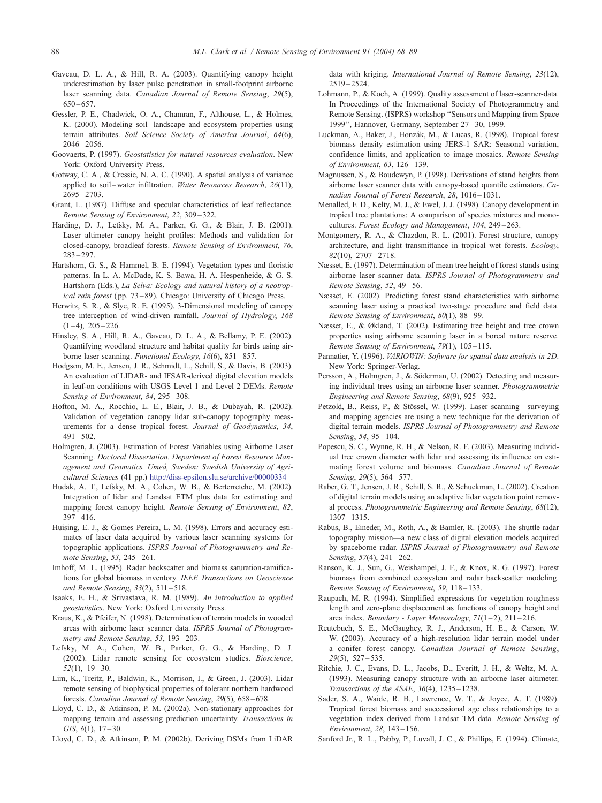- <span id="page-20-0"></span>Gaveau, D. L. A., & Hill, R. A. (2003). Quantifying canopy height underestimation by laser pulse penetration in small-footprint airborne laser scanning data. Canadian Journal of Remote Sensing, 29(5),  $650 - 657$ .
- Gessler, P. E., Chadwick, O. A., Chamran, F., Althouse, L., & Holmes, K. (2000). Modeling soil-landscape and ecosystem properties using terrain attributes. Soil Science Society of America Journal, 64(6),  $2046 - 2056$ .
- Goovaerts, P. (1997). Geostatistics for natural resources evaluation. New York: Oxford University Press.
- Gotway, C. A., & Cressie, N. A. C. (1990). A spatial analysis of variance applied to soil-water infiltration. Water Resources Research, 26(11), 2695 – 2703.
- Grant, L. (1987). Diffuse and specular characteristics of leaf reflectance. Remote Sensing of Environment, 22, 309 – 322.
- Harding, D. J., Lefsky, M. A., Parker, G. G., & Blair, J. B. (2001). Laser altimeter canopy height profiles: Methods and validation for closed-canopy, broadleaf forests. Remote Sensing of Environment, 76, 283 – 297.
- Hartshorn, G. S., & Hammel, B. E. (1994). Vegetation types and floristic patterns. In L. A. McDade, K. S. Bawa, H. A. Hespenheide, & G. S. Hartshorn (Eds.), La Selva: Ecology and natural history of a neotropical rain forest ( pp. 73 – 89). Chicago: University of Chicago Press.
- Herwitz, S. R., & Slye, R. E. (1995). 3-Dimensional modeling of canopy tree interception of wind-driven rainfall. Journal of Hydrology, 168  $(1 - 4)$ ,  $205 - 226$ .
- Hinsley, S. A., Hill, R. A., Gaveau, D. L. A., & Bellamy, P. E. (2002). Quantifying woodland structure and habitat quality for birds using airborne laser scanning. Functional Ecology, 16(6), 851 – 857.
- Hodgson, M. E., Jensen, J. R., Schmidt, L., Schill, S., & Davis, B. (2003). An evaluation of LIDAR- and IFSAR-derived digital elevation models in leaf-on conditions with USGS Level 1 and Level 2 DEMs. Remote Sensing of Environment, 84, 295-308.
- Hofton, M. A., Rocchio, L. E., Blair, J. B., & Dubayah, R. (2002). Validation of vegetation canopy lidar sub-canopy topography measurements for a dense tropical forest. Journal of Geodynamics, 34,  $491 - 502$
- Holmgren, J. (2003). Estimation of Forest Variables using Airborne Laser Scanning. Doctoral Dissertation. Department of Forest Resource Management and Geomatics. Umeå, Sweden: Swedish University of Agricultural Sciences (41 pp.) [http://diss-epsilon.slu.se/archive/00000334]( http:\\diss-epsilon.slu.se\archive\00000334 )
- Hudak, A. T., Lefsky, M. A., Cohen, W. B., & Berterretche, M. (2002). Integration of lidar and Landsat ETM plus data for estimating and mapping forest canopy height. Remote Sensing of Environment, 82,  $397 - 416$
- Huising, E. J., & Gomes Pereira, L. M. (1998). Errors and accuracy estimates of laser data acquired by various laser scanning systems for topographic applications. ISPRS Journal of Photogrammetry and Remote Sensing, 53, 245 – 261.
- Imhoff, M. L. (1995). Radar backscatter and biomass saturation-ramifications for global biomass inventory. IEEE Transactions on Geoscience and Remote Sensing, 33(2), 511-518.
- Isaaks, E. H., & Srivastava, R. M. (1989). An introduction to applied geostatistics. New York: Oxford University Press.
- Kraus, K., & Pfeifer, N. (1998). Determination of terrain models in wooded areas with airborne laser scanner data. ISPRS Journal of Photogrammetry and Remote Sensing, 53, 193 – 203.
- Lefsky, M. A., Cohen, W. B., Parker, G. G., & Harding, D. J. (2002). Lidar remote sensing for ecosystem studies. Bioscience,  $52(1)$ ,  $19-30$ .
- Lim, K., Treitz, P., Baldwin, K., Morrison, I., & Green, J. (2003). Lidar remote sensing of biophysical properties of tolerant northern hardwood forests. Canadian Journal of Remote Sensing, 29(5), 658-678.
- Lloyd, C. D., & Atkinson, P. M. (2002a). Non-stationary approaches for mapping terrain and assessing prediction uncertainty. Transactions in GIS,  $6(1)$ ,  $17-30$ .
- Lloyd, C. D., & Atkinson, P. M. (2002b). Deriving DSMs from LiDAR

data with kriging. International Journal of Remote Sensing, 23(12),  $2519 - 2524$ 

- Lohmann, P., & Koch, A. (1999). Quality assessment of laser-scanner-data. In Proceedings of the International Society of Photogrammetry and Remote Sensing. (ISPRS) workshop ''Sensors and Mapping from Space 1999'', Hannover, Germany, September 27 – 30, 1999.
- Luckman, A., Baker, J., Honzák, M., & Lucas, R. (1998). Tropical forest biomass density estimation using JERS-1 SAR: Seasonal variation, confidence limits, and application to image mosaics. Remote Sensing of Environment, 63, 126 – 139.
- Magnussen, S., & Boudewyn, P. (1998). Derivations of stand heights from airborne laser scanner data with canopy-based quantile estimators. Canadian Journal of Forest Research, 28, 1016-1031.
- Menalled, F. D., Kelty, M. J., & Ewel, J. J. (1998). Canopy development in tropical tree plantations: A comparison of species mixtures and monocultures. Forest Ecology and Management, 104, 249-263.
- Montgomery, R. A., & Chazdon, R. L. (2001). Forest structure, canopy architecture, and light transmittance in tropical wet forests. Ecology, 82(10), 2707 – 2718.
- Næsset, E. (1997). Determination of mean tree height of forest stands using airborne laser scanner data. ISPRS Journal of Photogrammetry and Remote Sensing, 52, 49 – 56.
- Næsset, E. (2002). Predicting forest stand characteristics with airborne scanning laser using a practical two-stage procedure and field data. Remote Sensing of Environment, 80(1), 88 – 99.
- Næsset, E., & Økland, T. (2002). Estimating tree height and tree crown properties using airborne scanning laser in a boreal nature reserve. Remote Sensing of Environment, 79(1), 105-115.
- Pannatier, Y. (1996). VARIOWIN: Software for spatial data analysis in 2D. New York: Springer-Verlag.
- Persson, A., Holmgren, J., & Söderman, U. (2002). Detecting and measuring individual trees using an airborne laser scanner. Photogrammetric Engineering and Remote Sensing, 68(9), 925 – 932.
- Petzold, B., Reiss, P., & Stössel, W. (1999). Laser scanning—surveying and mapping agencies are using a new technique for the derivation of digital terrain models. ISPRS Journal of Photogrammetry and Remote Sensing, 54, 95-104.
- Popescu, S. C., Wynne, R. H., & Nelson, R. F. (2003). Measuring individual tree crown diameter with lidar and assessing its influence on estimating forest volume and biomass. Canadian Journal of Remote Sensing, 29(5), 564-577.
- Raber, G. T., Jensen, J. R., Schill, S. R., & Schuckman, L. (2002). Creation of digital terrain models using an adaptive lidar vegetation point removal process. Photogrammetric Engineering and Remote Sensing, 68(12), 1307 – 1315.
- Rabus, B., Eineder, M., Roth, A., & Bamler, R. (2003). The shuttle radar topography mission—a new class of digital elevation models acquired by spaceborne radar. ISPRS Journal of Photogrammetry and Remote Sensing, 57(4), 241-262.
- Ranson, K. J., Sun, G., Weishampel, J. F., & Knox, R. G. (1997). Forest biomass from combined ecosystem and radar backscatter modeling. Remote Sensing of Environment, 59, 118-133.
- Raupach, M. R. (1994). Simplified expressions for vegetation roughness length and zero-plane displacement as functions of canopy height and area index. Boundary - Layer Meteorology,  $71(1-2)$ ,  $211-216$ .
- Reutebuch, S. E., McGaughey, R. J., Anderson, H. E., & Carson, W. W. (2003). Accuracy of a high-resolution lidar terrain model under a conifer forest canopy. Canadian Journal of Remote Sensing,  $29(5)$ ,  $527 - 535$ .
- Ritchie, J. C., Evans, D. L., Jacobs, D., Everitt, J. H., & Weltz, M. A. (1993). Measuring canopy structure with an airborne laser altimeter. Transactions of the ASAE, 36(4), 1235 – 1238.
- Sader, S. A., Waide, R. B., Lawrence, W. T., & Joyce, A. T. (1989). Tropical forest biomass and successional age class relationships to a vegetation index derived from Landsat TM data. Remote Sensing of Environment, 28, 143 – 156.
- Sanford Jr., R. L., Pabby, P., Luvall, J. C., & Phillips, E. (1994). Climate,